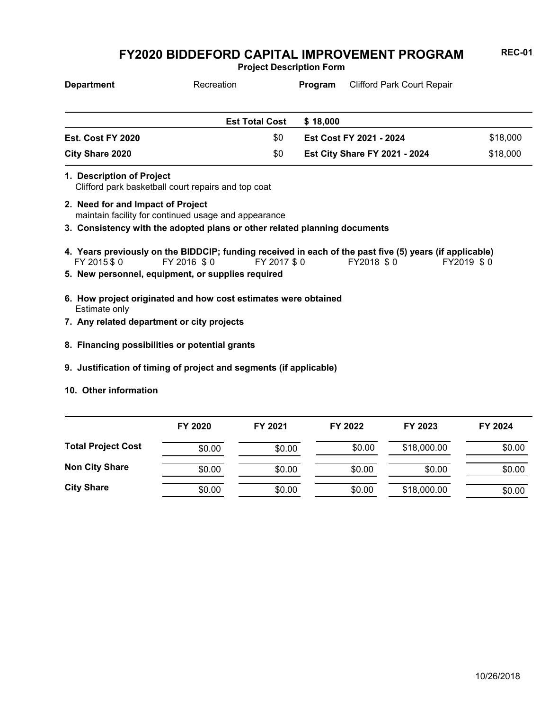**Project Description Form**

| <b>Department</b> | Recreation            | Program  | <b>Clifford Park Court Repair</b>    |          |
|-------------------|-----------------------|----------|--------------------------------------|----------|
|                   |                       |          |                                      |          |
|                   | <b>Est Total Cost</b> | \$18,000 |                                      |          |
| Est. Cost FY 2020 | \$0                   |          | Est Cost FY 2021 - 2024              | \$18,000 |
| City Share 2020   | \$0                   |          | <b>Est City Share FY 2021 - 2024</b> | \$18,000 |

- Clifford park basketball court repairs and top coat **1. Description of Project**
- maintain facility for continued usage and appearance **2. Need for and Impact of Project**
- **3. Consistency with the adopted plans or other related planning documents**
- FY 2015 \$ 0 FY 2016 \$ 0 FY 2017 \$ 0 FY2018 \$ 0 FY2019 \$ 0 **4. Years previously on the BIDDCIP; funding received in each of the past five (5) years (if applicable)**
- **5. New personnel, equipment, or supplies required**
- Estimate only **6. How project originated and how cost estimates were obtained**
- **7. Any related department or city projects**
- **8. Financing possibilities or potential grants**
- **9. Justification of timing of project and segments (if applicable)**
- **10. Other information**

|                           | FY 2020 | FY 2021 | FY 2022 | FY 2023     | FY 2024 |
|---------------------------|---------|---------|---------|-------------|---------|
| <b>Total Project Cost</b> | \$0.00  | \$0.00  | \$0.00  | \$18,000.00 | \$0.00  |
| <b>Non City Share</b>     | \$0.00  | \$0.00  | \$0.00  | \$0.00      | \$0.00  |
| <b>City Share</b>         | \$0.00  | \$0.00  | \$0.00  | \$18,000.00 | \$0.00  |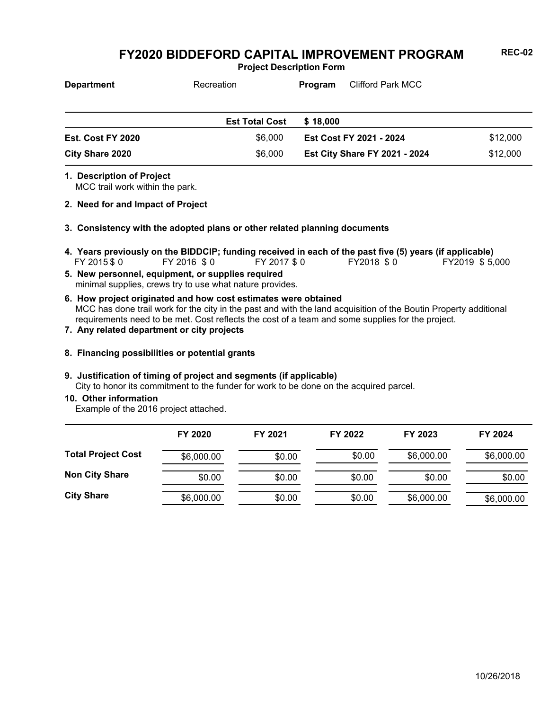**Project Description Form**

| <b>Department</b> | Recreation            | Program                 | <b>Clifford Park MCC</b>             |          |
|-------------------|-----------------------|-------------------------|--------------------------------------|----------|
|                   | <b>Est Total Cost</b> | \$18,000                |                                      |          |
| Est. Cost FY 2020 | \$6,000               | Est Cost FY 2021 - 2024 |                                      | \$12,000 |
| City Share 2020   | \$6,000               |                         | <b>Est City Share FY 2021 - 2024</b> | \$12,000 |

**1. Description of Project**

MCC trail work within the park.

- **2. Need for and Impact of Project**
- **3. Consistency with the adopted plans or other related planning documents**
- FY 2015 \$ 0 FY 2016 \$ 0 FY 2017 \$ 0 FY2018 \$ 0 FY2019 \$ 5,000 **4. Years previously on the BIDDCIP; funding received in each of the past five (5) years (if applicable)**
- minimal supplies, crews try to use what nature provides. **5. New personnel, equipment, or supplies required**
- MCC has done trail work for the city in the past and with the land acquisition of the Boutin Property additional requirements need to be met. Cost reflects the cost of a team and some supplies for the project. **6. How project originated and how cost estimates were obtained**
- **7. Any related department or city projects**
- **8. Financing possibilities or potential grants**

#### **9. Justification of timing of project and segments (if applicable)**

City to honor its commitment to the funder for work to be done on the acquired parcel.

**10. Other information**

Example of the 2016 project attached.

|                           | FY 2020    | FY 2021 | FY 2022 | FY 2023    | FY 2024    |
|---------------------------|------------|---------|---------|------------|------------|
| <b>Total Project Cost</b> | \$6,000.00 | \$0.00  | \$0.00  | \$6,000.00 | \$6,000.00 |
| <b>Non City Share</b>     | \$0.00     | \$0.00  | \$0.00  | \$0.00     | \$0.00     |
| <b>City Share</b>         | \$6,000.00 | \$0.00  | \$0.00  | \$6,000.00 | \$6,000.00 |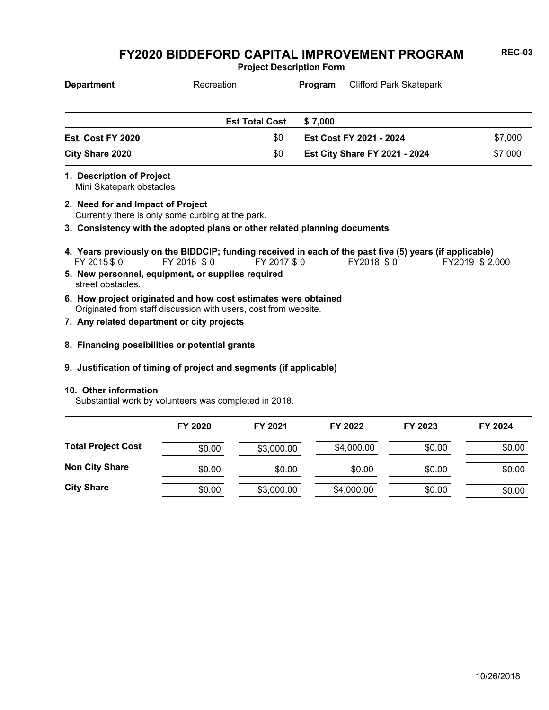**Project Description Form**

| <b>Department</b>                                     | Recreation                                                                                                                        |              | Program | <b>Clifford Park Skatepark</b>       |                |
|-------------------------------------------------------|-----------------------------------------------------------------------------------------------------------------------------------|--------------|---------|--------------------------------------|----------------|
|                                                       | <b>Est Total Cost</b>                                                                                                             |              | \$7,000 |                                      |                |
| Est. Cost FY 2020                                     |                                                                                                                                   | \$0          |         | Est Cost FY 2021 - 2024              | \$7,000        |
| <b>City Share 2020</b>                                |                                                                                                                                   | \$0          |         | <b>Est City Share FY 2021 - 2024</b> | \$7,000        |
| 1. Description of Project<br>Mini Skatepark obstacles |                                                                                                                                   |              |         |                                      |                |
| 2. Need for and Impact of Project                     | Currently there is only some curbing at the park.                                                                                 |              |         |                                      |                |
|                                                       | 3. Consistency with the adopted plans or other related planning documents                                                         |              |         |                                      |                |
| FY 2015 \$0                                           | 4. Years previously on the BIDDCIP; funding received in each of the past five (5) years (if applicable)<br>FY 2016 \$0            | FY 2017 \$ 0 |         | FY2018 \$0                           | FY2019 \$2,000 |
| street obstacles.                                     | 5. New personnel, equipment, or supplies required                                                                                 |              |         |                                      |                |
|                                                       | 6. How project originated and how cost estimates were obtained<br>Originated from staff discussion with users, cost from website. |              |         |                                      |                |
|                                                       | 7. Any related department or city projects                                                                                        |              |         |                                      |                |
|                                                       | 8. Financing possibilities or potential grants                                                                                    |              |         |                                      |                |

#### **9. Justification of timing of project and segments (if applicable)**

#### **10. Other information**

Substantial work by volunteers was completed in 2018.

|                           | FY 2020 | FY 2021    | FY 2022    | FY 2023 | FY 2024 |
|---------------------------|---------|------------|------------|---------|---------|
| <b>Total Project Cost</b> | \$0.00  | \$3,000.00 | \$4,000.00 | \$0.00  | \$0.00  |
| <b>Non City Share</b>     | \$0.00  | \$0.00     | \$0.00     | \$0.00  | \$0.00  |
| <b>City Share</b>         | \$0.00  | \$3,000.00 | \$4,000.00 | \$0.00  | \$0.00  |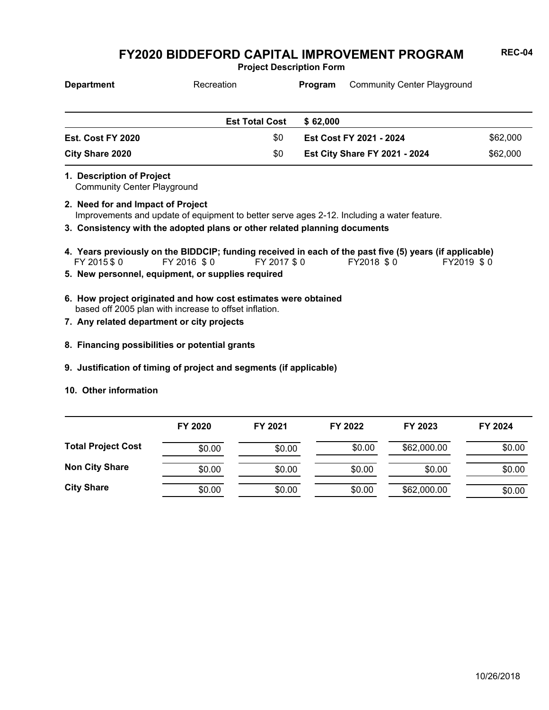**Project Description Form**

| <b>Department</b> | Recreation            | <b>Program</b>                       | Community Center Playground |          |
|-------------------|-----------------------|--------------------------------------|-----------------------------|----------|
|                   |                       |                                      |                             |          |
|                   | <b>Est Total Cost</b> | \$62,000                             |                             |          |
| Est. Cost FY 2020 | \$0                   | Est Cost FY 2021 - 2024              |                             | \$62,000 |
| City Share 2020   | \$0                   | <b>Est City Share FY 2021 - 2024</b> |                             | \$62,000 |

Community Center Playground **1. Description of Project**

Improvements and update of equipment to better serve ages 2-12. Including a water feature. **2. Need for and Impact of Project**

**3. Consistency with the adopted plans or other related planning documents**

- FY 2015 \$ 0 FY 2016 \$ 0 FY 2017 \$ 0 FY2018 \$ 0 FY2019 \$ 0 **4. Years previously on the BIDDCIP; funding received in each of the past five (5) years (if applicable)**
- **5. New personnel, equipment, or supplies required**
- based off 2005 plan with increase to offset inflation. **6. How project originated and how cost estimates were obtained**
- **7. Any related department or city projects**
- **8. Financing possibilities or potential grants**
- **9. Justification of timing of project and segments (if applicable)**
- **10. Other information**

|                           | FY 2020 | FY 2021 | FY 2022 | FY 2023     | FY 2024 |
|---------------------------|---------|---------|---------|-------------|---------|
| <b>Total Project Cost</b> | \$0.00  | \$0.00  | \$0.00  | \$62,000.00 | \$0.00  |
| <b>Non City Share</b>     | \$0.00  | \$0.00  | \$0.00  | \$0.00      | \$0.00  |
| <b>City Share</b>         | \$0.00  | \$0.00  | \$0.00  | \$62,000.00 | \$0.00  |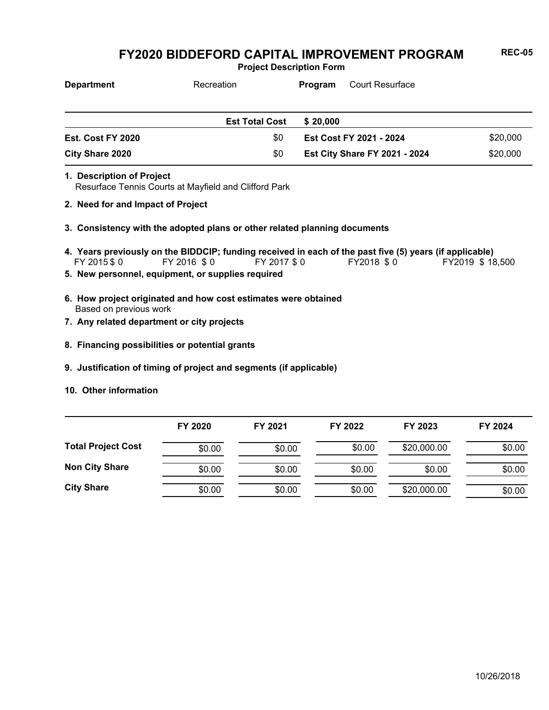**Project Description Form**

| <b>Department</b> | Recreation            | <b>Court Resurface</b><br>Program                |  |
|-------------------|-----------------------|--------------------------------------------------|--|
|                   |                       |                                                  |  |
|                   | <b>Est Total Cost</b> | \$20,000                                         |  |
| Est. Cost FY 2020 | \$0                   | \$20,000<br><b>Est Cost FY 2021 - 2024</b>       |  |
| City Share 2020   | \$0                   | \$20,000<br><b>Est City Share FY 2021 - 2024</b> |  |

- Resurface Tennis Courts at Mayfield and Clifford Park **1. Description of Project**
- **2. Need for and Impact of Project**
- **3. Consistency with the adopted plans or other related planning documents**
- FY 2015\$0 FY 2016 \$0 FY 2017\$0 FY2018 \$0 FY2019 \$18,500 **4. Years previously on the BIDDCIP; funding received in each of the past five (5) years (if applicable)**
- **5. New personnel, equipment, or supplies required**
- Based on previous work **6. How project originated and how cost estimates were obtained**
- **7. Any related department or city projects**
- **8. Financing possibilities or potential grants**
- **9. Justification of timing of project and segments (if applicable)**
- **10. Other information**

|                           | FY 2020 | FY 2021 | FY 2022 | FY 2023     | FY 2024 |
|---------------------------|---------|---------|---------|-------------|---------|
| <b>Total Project Cost</b> | \$0.00  | \$0.00  | \$0.00  | \$20,000.00 | \$0.00  |
| <b>Non City Share</b>     | \$0.00  | \$0.00  | \$0.00  | \$0.00      | \$0.00  |
| <b>City Share</b>         | \$0.00  | \$0.00  | \$0.00  | \$20,000.00 | \$0.00  |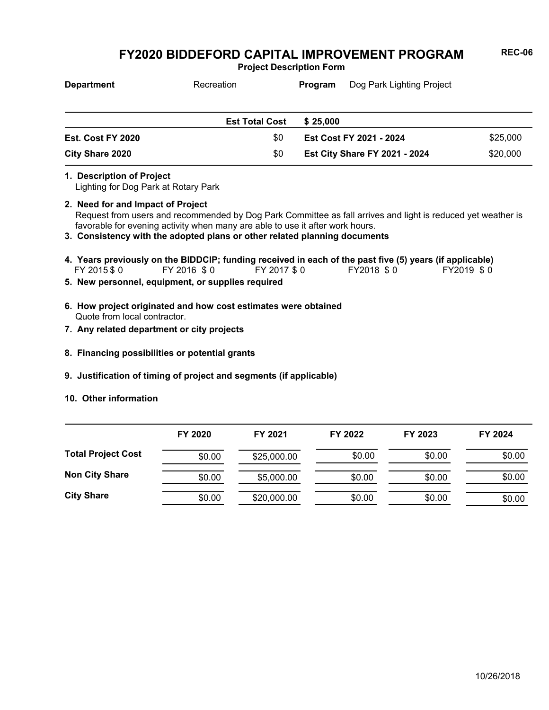**Project Description Form**

| <b>Department</b> | Recreation            | Program                              | Dog Park Lighting Project |          |
|-------------------|-----------------------|--------------------------------------|---------------------------|----------|
|                   |                       |                                      |                           |          |
|                   | <b>Est Total Cost</b> | \$25,000                             |                           |          |
| Est. Cost FY 2020 | \$0                   | Est Cost FY 2021 - 2024              |                           | \$25,000 |
| City Share 2020   | \$0                   | <b>Est City Share FY 2021 - 2024</b> |                           | \$20,000 |

#### **1. Description of Project**

Lighting for Dog Park at Rotary Park

- Request from users and recommended by Dog Park Committee as fall arrives and light is reduced yet weather is favorable for evening activity when many are able to use it after work hours. **2. Need for and Impact of Project**
- **3. Consistency with the adopted plans or other related planning documents**
- FY 2015 \$ 0 FY 2016 \$ 0 FY 2017 \$ 0 FY2018 \$ 0 FY2019 \$ 0 **4. Years previously on the BIDDCIP; funding received in each of the past five (5) years (if applicable)**
- **5. New personnel, equipment, or supplies required**
- Quote from local contractor. **6. How project originated and how cost estimates were obtained**
- **7. Any related department or city projects**
- **8. Financing possibilities or potential grants**
- **9. Justification of timing of project and segments (if applicable)**
- **10. Other information**

|                           | FY 2020 | FY 2021     | FY 2022 | FY 2023 | FY 2024 |
|---------------------------|---------|-------------|---------|---------|---------|
| <b>Total Project Cost</b> | \$0.00  | \$25,000.00 | \$0.00  | \$0.00  | \$0.00  |
| <b>Non City Share</b>     | \$0.00  | \$5,000.00  | \$0.00  | \$0.00  | \$0.00  |
| <b>City Share</b>         | \$0.00  | \$20,000.00 | \$0.00  | \$0.00  | \$0.00  |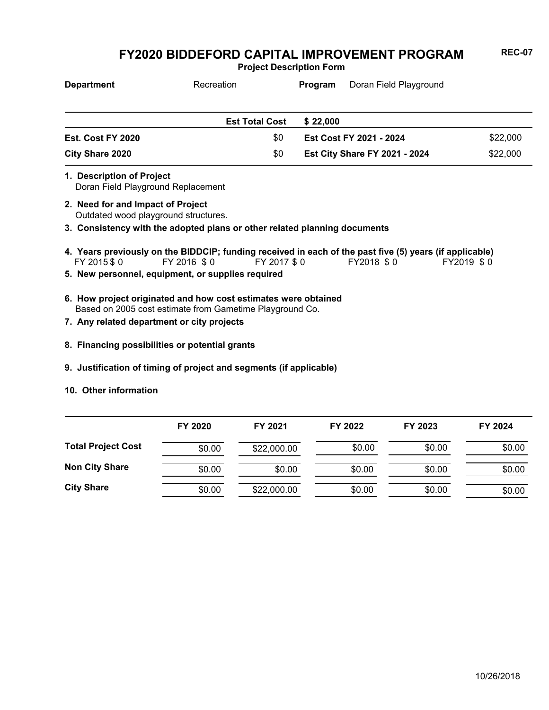**Project Description Form**

| <b>Department</b> | Recreation            | Program  | Doran Field Playground               |          |
|-------------------|-----------------------|----------|--------------------------------------|----------|
|                   |                       |          |                                      |          |
|                   | <b>Est Total Cost</b> | \$22.000 |                                      |          |
| Est. Cost FY 2020 | \$0                   |          | Est Cost FY 2021 - 2024              | \$22,000 |
| City Share 2020   | \$0                   |          | <b>Est City Share FY 2021 - 2024</b> | \$22,000 |

Doran Field Playground Replacement **1. Description of Project**

- Outdated wood playground structures. **2. Need for and Impact of Project**
- **3. Consistency with the adopted plans or other related planning documents**
- FY 2015 \$ 0 FY 2016 \$ 0 FY 2017 \$ 0 FY2018 \$ 0 FY2019 \$ 0 **4. Years previously on the BIDDCIP; funding received in each of the past five (5) years (if applicable)**
- **5. New personnel, equipment, or supplies required**
- Based on 2005 cost estimate from Gametime Playground Co. **6. How project originated and how cost estimates were obtained**
- **7. Any related department or city projects**
- **8. Financing possibilities or potential grants**
- **9. Justification of timing of project and segments (if applicable)**
- **10. Other information**

|                           | FY 2020 | FY 2021     | FY 2022 | FY 2023 | FY 2024 |
|---------------------------|---------|-------------|---------|---------|---------|
| <b>Total Project Cost</b> | \$0.00  | \$22,000.00 | \$0.00  | \$0.00  | \$0.00  |
| <b>Non City Share</b>     | \$0.00  | \$0.00      | \$0.00  | \$0.00  | \$0.00  |
| <b>City Share</b>         | \$0.00  | \$22,000.00 | \$0.00  | \$0.00  | \$0.00  |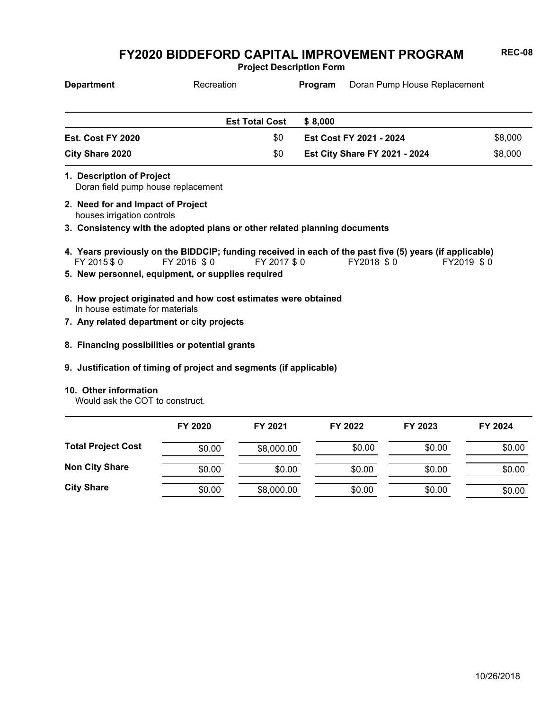**Project Description Form**

| <b>Department</b> | Recreation            | <b>Program</b> | Doran Pump House Replacement         |         |
|-------------------|-----------------------|----------------|--------------------------------------|---------|
|                   | <b>Est Total Cost</b> | \$ 8.000       |                                      |         |
| Est. Cost FY 2020 | \$0                   |                | Est Cost FY 2021 - 2024              | \$8,000 |
| City Share 2020   | \$0                   |                | <b>Est City Share FY 2021 - 2024</b> | \$8,000 |

Doran field pump house replacement **1. Description of Project**

houses irrigation controls **2. Need for and Impact of Project**

**3. Consistency with the adopted plans or other related planning documents**

- FY 2015 \$ 0 FY 2016 \$ 0 FY 2017 \$ 0 FY2018 \$ 0 FY2019 \$ 0 **4. Years previously on the BIDDCIP; funding received in each of the past five (5) years (if applicable)**
- **5. New personnel, equipment, or supplies required**
- In house estimate for materials **6. How project originated and how cost estimates were obtained**
- **7. Any related department or city projects**
- **8. Financing possibilities or potential grants**
- **9. Justification of timing of project and segments (if applicable)**

#### **10. Other information**

Would ask the COT to construct.

|                           | FY 2020 | FY 2021    | FY 2022 | FY 2023 | FY 2024 |
|---------------------------|---------|------------|---------|---------|---------|
| <b>Total Project Cost</b> | \$0.00  | \$8,000.00 | \$0.00  | \$0.00  | \$0.00  |
| <b>Non City Share</b>     | \$0.00  | \$0.00     | \$0.00  | \$0.00  | \$0.00  |
| <b>City Share</b>         | \$0.00  | \$8,000.00 | \$0.00  | \$0.00  | \$0.00  |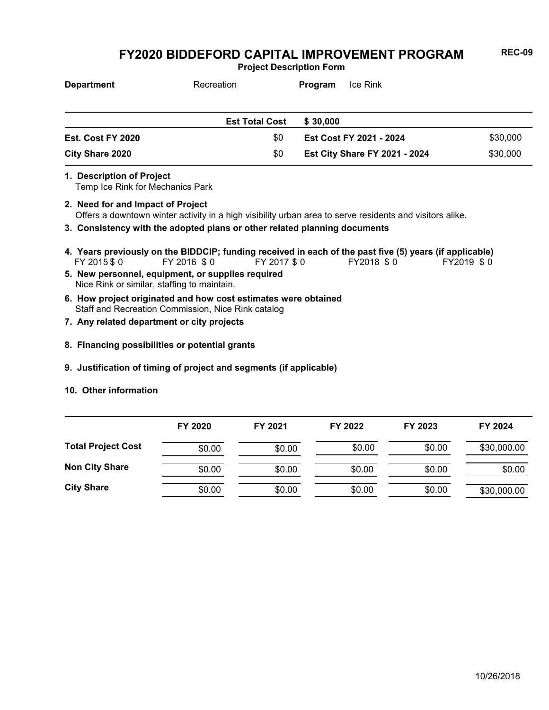**Project Description Form**

| <b>Department</b>      | Recreation            | Ice Rink<br>Program                  |          |
|------------------------|-----------------------|--------------------------------------|----------|
|                        | <b>Est Total Cost</b> | \$ 30,000                            |          |
| Est. Cost FY 2020      | \$0                   | Est Cost FY 2021 - 2024              | \$30,000 |
| <b>City Share 2020</b> | \$0                   | <b>Est City Share FY 2021 - 2024</b> | \$30,000 |

**1. Description of Project**

Temp Ice Rink for Mechanics Park

- Offers a downtown winter activity in a high visibility urban area to serve residents and visitors alike. **2. Need for and Impact of Project**
- **3. Consistency with the adopted plans or other related planning documents**
- FY 2015 \$ 0 FY 2016 \$ 0 FY 2017 \$ 0 FY2018 \$ 0 FY2019 \$ 0 **4. Years previously on the BIDDCIP; funding received in each of the past five (5) years (if applicable)**
- Nice Rink or similar, staffing to maintain. **5. New personnel, equipment, or supplies required**
- Staff and Recreation Commission, Nice Rink catalog **6. How project originated and how cost estimates were obtained**
- **7. Any related department or city projects**
- **8. Financing possibilities or potential grants**
- **9. Justification of timing of project and segments (if applicable)**
- **10. Other information**

|                           | FY 2020 | FY 2021 | FY 2022 | FY 2023 | FY 2024     |
|---------------------------|---------|---------|---------|---------|-------------|
| <b>Total Project Cost</b> | \$0.00  | \$0.00  | \$0.00  | \$0.00  | \$30,000.00 |
| <b>Non City Share</b>     | \$0.00  | \$0.00  | \$0.00  | \$0.00  | \$0.00      |
| <b>City Share</b>         | \$0.00  | \$0.00  | \$0.00  | \$0.00  | \$30,000.00 |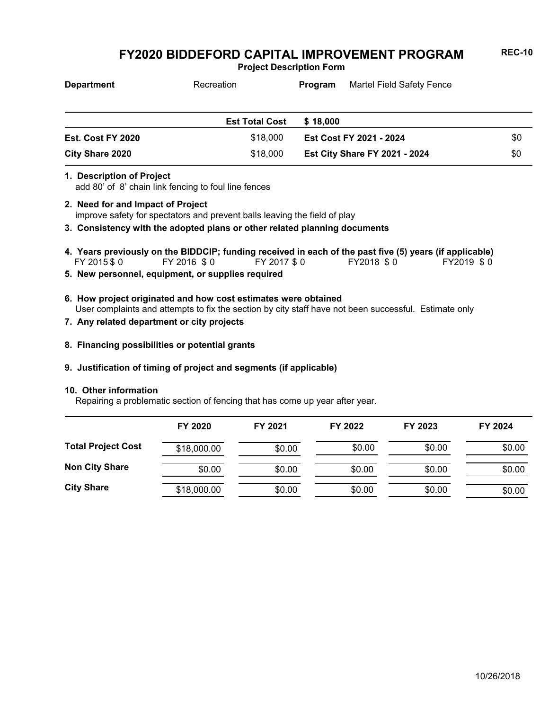**Project Description Form**

| <b>Department</b> | Recreation            | Martel Field Safety Fence<br>Program |                                      |     |
|-------------------|-----------------------|--------------------------------------|--------------------------------------|-----|
|                   | <b>Est Total Cost</b> | \$18,000                             |                                      |     |
| Est. Cost FY 2020 | \$18,000              |                                      | Est Cost FY 2021 - 2024              | \$0 |
| City Share 2020   | \$18,000              |                                      | <b>Est City Share FY 2021 - 2024</b> | \$0 |

#### **1. Description of Project**

add 80' of 8' chain link fencing to foul line fences

- improve safety for spectators and prevent balls leaving the field of play **2. Need for and Impact of Project**
- **3. Consistency with the adopted plans or other related planning documents**
- FY 2015 \$ 0 FY 2016 \$ 0 FY 2017 \$ 0 FY2018 \$ 0 FY2019 \$ 0 **4. Years previously on the BIDDCIP; funding received in each of the past five (5) years (if applicable)**
- **5. New personnel, equipment, or supplies required**
- User complaints and attempts to fix the section by city staff have not been successful. Estimate only **6. How project originated and how cost estimates were obtained**
- **7. Any related department or city projects**
- **8. Financing possibilities or potential grants**

#### **9. Justification of timing of project and segments (if applicable)**

#### **10. Other information**

Repairing a problematic section of fencing that has come up year after year.

|                           | FY 2020     | FY 2021 | FY 2022 | FY 2023 | FY 2024 |
|---------------------------|-------------|---------|---------|---------|---------|
| <b>Total Project Cost</b> | \$18,000.00 | \$0.00  | \$0.00  | \$0.00  | \$0.00  |
| <b>Non City Share</b>     | \$0.00      | \$0.00  | \$0.00  | \$0.00  | \$0.00  |
| <b>City Share</b>         | \$18,000.00 | \$0.00  | \$0.00  | \$0.00  | \$0.00  |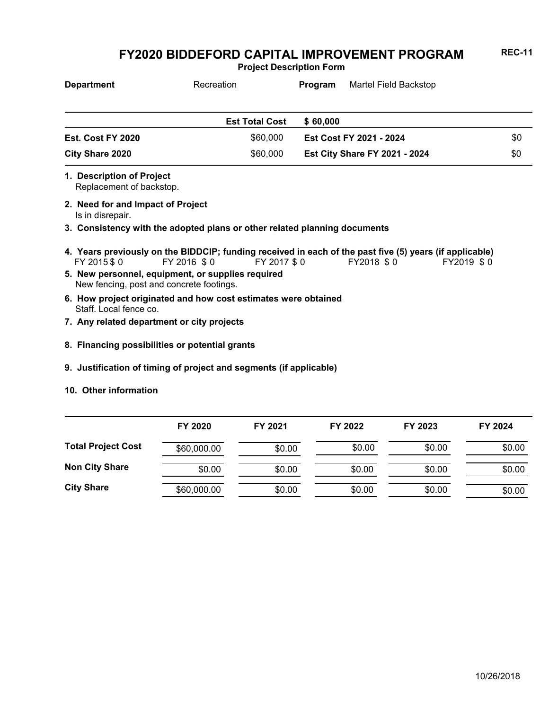**Project Description Form**

| <b>Department</b>                                     | Recreation            | Martel Field Backstop<br>Program     |     |
|-------------------------------------------------------|-----------------------|--------------------------------------|-----|
|                                                       | <b>Est Total Cost</b> | \$60,000                             |     |
| Est. Cost FY 2020                                     | \$60,000              | Est Cost FY 2021 - 2024              | \$0 |
| <b>City Share 2020</b>                                | \$60,000              | <b>Est City Share FY 2021 - 2024</b> | \$0 |
| 1. Description of Project<br>Replacement of backstop. |                       |                                      |     |
| 2. Need for and Impact of Project                     |                       |                                      |     |

Is in disrepair.

**3. Consistency with the adopted plans or other related planning documents**

- FY 2015 \$ 0 FY 2016 \$ 0 FY 2017 \$ 0 FY2018 \$ 0 FY2019 \$ 0 **4. Years previously on the BIDDCIP; funding received in each of the past five (5) years (if applicable)**
- New fencing, post and concrete footings. **5. New personnel, equipment, or supplies required**
- Staff. Local fence co. **6. How project originated and how cost estimates were obtained**
- **7. Any related department or city projects**
- **8. Financing possibilities or potential grants**
- **9. Justification of timing of project and segments (if applicable)**
- **10. Other information**

|                           | FY 2020     | FY 2021 | FY 2022 | FY 2023 | FY 2024 |
|---------------------------|-------------|---------|---------|---------|---------|
| <b>Total Project Cost</b> | \$60,000.00 | \$0.00  | \$0.00  | \$0.00  | \$0.00  |
| <b>Non City Share</b>     | \$0.00      | \$0.00  | \$0.00  | \$0.00  | \$0.00  |
| <b>City Share</b>         | \$60,000.00 | \$0.00  | \$0.00  | \$0.00  | \$0.00  |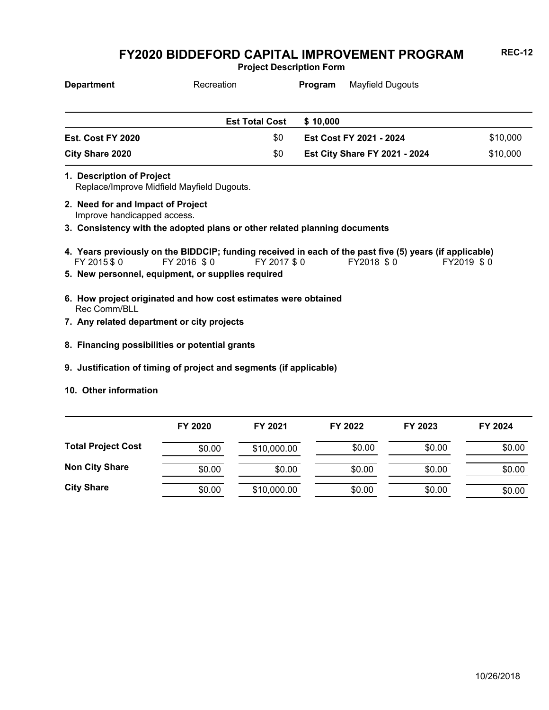**Project Description Form**

| <b>Department</b>      | Recreation            | Mayfield Dugouts<br><b>Program</b>   |          |
|------------------------|-----------------------|--------------------------------------|----------|
|                        |                       |                                      |          |
|                        | <b>Est Total Cost</b> | \$10,000                             |          |
| Est. Cost FY 2020      | \$0                   | Est Cost FY 2021 - 2024              | \$10,000 |
| <b>City Share 2020</b> | \$0                   | <b>Est City Share FY 2021 - 2024</b> | \$10,000 |

- Replace/Improve Midfield Mayfield Dugouts. **1. Description of Project**
- Improve handicapped access. **2. Need for and Impact of Project**
- **3. Consistency with the adopted plans or other related planning documents**
- FY 2015 \$ 0 FY 2016 \$ 0 FY 2017 \$ 0 FY2018 \$ 0 FY2019 \$ 0 **4. Years previously on the BIDDCIP; funding received in each of the past five (5) years (if applicable)**
- **5. New personnel, equipment, or supplies required**
- Rec Comm/BLL **6. How project originated and how cost estimates were obtained**
- **7. Any related department or city projects**
- **8. Financing possibilities or potential grants**
- **9. Justification of timing of project and segments (if applicable)**
- **10. Other information**

|                           | FY 2020 | FY 2021     | FY 2022 | FY 2023 | FY 2024 |
|---------------------------|---------|-------------|---------|---------|---------|
| <b>Total Project Cost</b> | \$0.00  | \$10,000.00 | \$0.00  | \$0.00  | \$0.00  |
| <b>Non City Share</b>     | \$0.00  | \$0.00      | \$0.00  | \$0.00  | \$0.00  |
| <b>City Share</b>         | \$0.00  | \$10,000.00 | \$0.00  | \$0.00  | \$0.00  |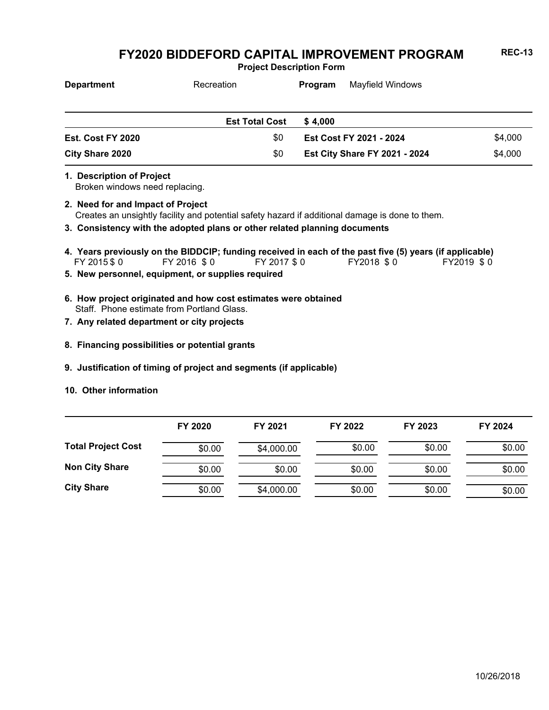**Project Description Form**

| <b>Department</b>        | Recreation            | Mayfield Windows<br>Program          |         |
|--------------------------|-----------------------|--------------------------------------|---------|
|                          | <b>Est Total Cost</b> | \$4.000                              |         |
| \$0<br>Est. Cost FY 2020 |                       | <b>Est Cost FY 2021 - 2024</b>       | \$4,000 |
| City Share 2020          | \$0                   | <b>Est City Share FY 2021 - 2024</b> | \$4,000 |

**1. Description of Project**

Broken windows need replacing.

- Creates an unsightly facility and potential safety hazard if additional damage is done to them. **2. Need for and Impact of Project**
- **3. Consistency with the adopted plans or other related planning documents**
- FY 2015 \$ 0 FY 2016 \$ 0 FY 2017 \$ 0 FY2018 \$ 0 FY2019 \$ 0 **4. Years previously on the BIDDCIP; funding received in each of the past five (5) years (if applicable)**
- **5. New personnel, equipment, or supplies required**
- Staff. Phone estimate from Portland Glass. **6. How project originated and how cost estimates were obtained**
- **7. Any related department or city projects**
- **8. Financing possibilities or potential grants**
- **9. Justification of timing of project and segments (if applicable)**
- **10. Other information**

|                           | FY 2020 | FY 2021    | FY 2022 | FY 2023 | FY 2024 |
|---------------------------|---------|------------|---------|---------|---------|
| <b>Total Project Cost</b> | \$0.00  | \$4,000.00 | \$0.00  | \$0.00  | \$0.00  |
| <b>Non City Share</b>     | \$0.00  | \$0.00     | \$0.00  | \$0.00  | \$0.00  |
| <b>City Share</b>         | \$0.00  | \$4,000.00 | \$0.00  | \$0.00  | \$0.00  |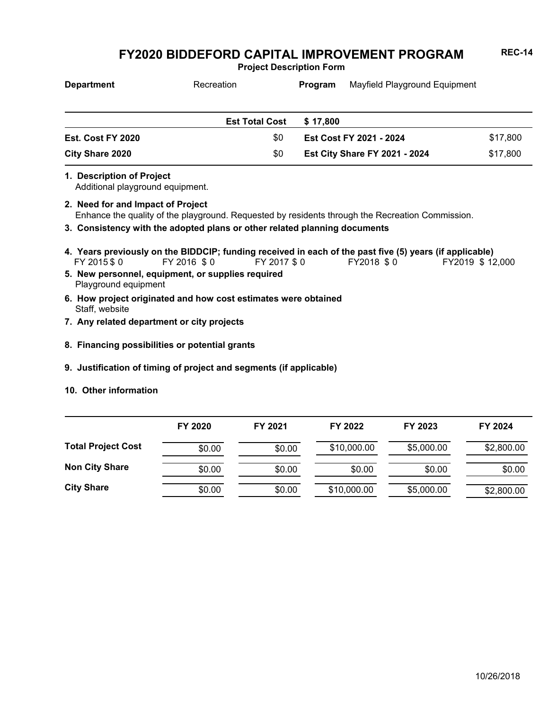**Project Description Form**

| <b>Department</b>        | Recreation            | Program                              | Mayfield Playground Equipment |          |
|--------------------------|-----------------------|--------------------------------------|-------------------------------|----------|
|                          |                       |                                      |                               |          |
|                          | <b>Est Total Cost</b> | \$17.800                             |                               |          |
| <b>Est. Cost FY 2020</b> | \$0                   |                                      | Est Cost FY 2021 - 2024       | \$17,800 |
| City Share 2020          | \$0                   | <b>Est City Share FY 2021 - 2024</b> |                               | \$17,800 |

**1. Description of Project**

Additional playground equipment.

- Enhance the quality of the playground. Requested by residents through the Recreation Commission. **2. Need for and Impact of Project**
- **3. Consistency with the adopted plans or other related planning documents**
- \$ 0 \$ 0 \$ 0 \$ 0 \$ 12,000 **4. Years previously on the BIDDCIP; funding received in each of the past five (5) years (if applicable)** FY 2018 \$0
- Playground equipment **5. New personnel, equipment, or supplies required**
- Staff, website **6. How project originated and how cost estimates were obtained**
- **7. Any related department or city projects**
- **8. Financing possibilities or potential grants**
- **9. Justification of timing of project and segments (if applicable)**
- **10. Other information**

|                           | FY 2020 | FY 2021 | FY 2022     | FY 2023    | FY 2024    |
|---------------------------|---------|---------|-------------|------------|------------|
| <b>Total Project Cost</b> | \$0.00  | \$0.00  | \$10,000.00 | \$5,000.00 | \$2,800.00 |
| <b>Non City Share</b>     | \$0.00  | \$0.00  | \$0.00      | \$0.00     | \$0.00     |
| <b>City Share</b>         | \$0.00  | \$0.00  | \$10,000.00 | \$5,000.00 | \$2,800.00 |

10/26/2018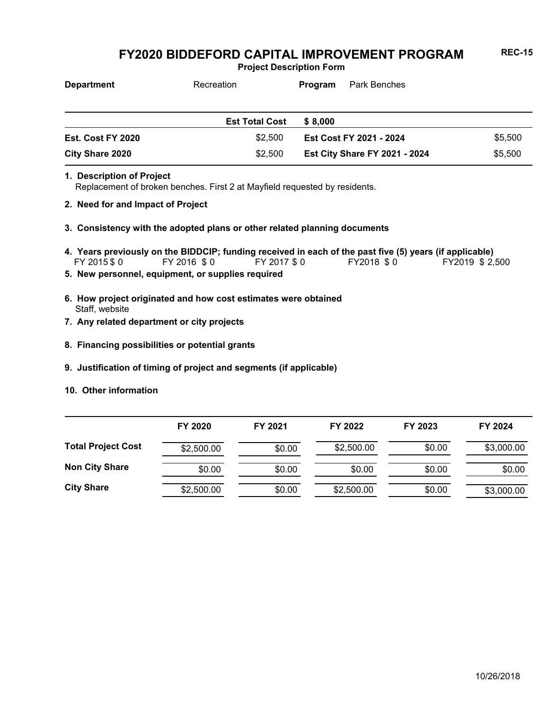**Project Description Form**

| <b>Department</b> | Recreation            | Park Benches<br>Program              |         |
|-------------------|-----------------------|--------------------------------------|---------|
|                   |                       |                                      |         |
|                   | <b>Est Total Cost</b> | \$ 8.000                             |         |
| Est. Cost FY 2020 | \$2.500               | Est Cost FY 2021 - 2024              | \$5,500 |
| City Share 2020   | \$2,500               | <b>Est City Share FY 2021 - 2024</b> | \$5,500 |

- Replacement of broken benches. First 2 at Mayfield requested by residents. **1. Description of Project**
- **2. Need for and Impact of Project**
- **3. Consistency with the adopted plans or other related planning documents**
- FY 2015 \$ 0 FY 2016 \$ 0 FY 2017 \$ 0 FY2018 \$ 0 FY2019 \$ 2,500 **4. Years previously on the BIDDCIP; funding received in each of the past five (5) years (if applicable)**
- **5. New personnel, equipment, or supplies required**
- Staff, website **6. How project originated and how cost estimates were obtained**
- **7. Any related department or city projects**
- **8. Financing possibilities or potential grants**
- **9. Justification of timing of project and segments (if applicable)**
- **10. Other information**

|                           | FY 2020    | FY 2021 | FY 2022    | FY 2023 | FY 2024    |
|---------------------------|------------|---------|------------|---------|------------|
| <b>Total Project Cost</b> | \$2,500.00 | \$0.00  | \$2,500.00 | \$0.00  | \$3,000.00 |
| <b>Non City Share</b>     | \$0.00     | \$0.00  | \$0.00     | \$0.00  | \$0.00     |
| <b>City Share</b>         | \$2,500.00 | \$0.00  | \$2,500.00 | \$0.00  | \$3,000.00 |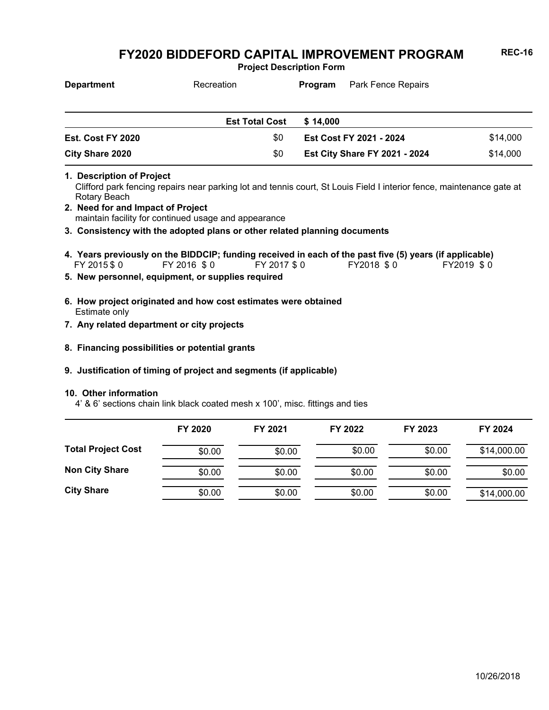**Project Description Form**

| <b>Department</b> | Recreation            | Park Fence Repairs<br>Program                    |  |
|-------------------|-----------------------|--------------------------------------------------|--|
|                   |                       |                                                  |  |
|                   | <b>Est Total Cost</b> | \$14,000                                         |  |
| Est. Cost FY 2020 | \$0                   | Est Cost FY 2021 - 2024                          |  |
| City Share 2020   | \$0                   | \$14,000<br><b>Est City Share FY 2021 - 2024</b> |  |

**1. Description of Project**

Clifford park fencing repairs near parking lot and tennis court, St Louis Field I interior fence, maintenance gate at Rotary Beach

- maintain facility for continued usage and appearance **2. Need for and Impact of Project**
- **3. Consistency with the adopted plans or other related planning documents**
- FY 2015 \$ 0 FY 2016 \$ 0 FY 2017 \$ 0 FY2018 \$ 0 FY2019 \$ 0 **4. Years previously on the BIDDCIP; funding received in each of the past five (5) years (if applicable)**
- **5. New personnel, equipment, or supplies required**
- Estimate only **6. How project originated and how cost estimates were obtained**
- **7. Any related department or city projects**
- **8. Financing possibilities or potential grants**
- **9. Justification of timing of project and segments (if applicable)**

#### **10. Other information**

4' & 6' sections chain link black coated mesh x 100', misc. fittings and ties

|                           | FY 2020 | FY 2021 | FY 2022 | FY 2023 | FY 2024     |
|---------------------------|---------|---------|---------|---------|-------------|
| <b>Total Project Cost</b> | \$0.00  | \$0.00  | \$0.00  | \$0.00  | \$14,000.00 |
| <b>Non City Share</b>     | \$0.00  | \$0.00  | \$0.00  | \$0.00  | \$0.00      |
| <b>City Share</b>         | \$0.00  | \$0.00  | \$0.00  | \$0.00  | \$14,000.00 |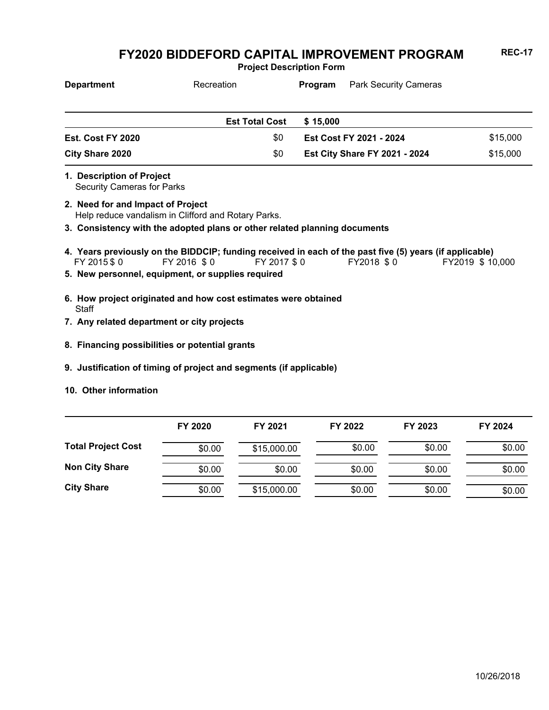**Project Description Form**

| <b>Department</b>                                              | Recreation                                                                                                                            | Program  | <b>Park Security Cameras</b>         |  |                  |
|----------------------------------------------------------------|---------------------------------------------------------------------------------------------------------------------------------------|----------|--------------------------------------|--|------------------|
|                                                                | <b>Est Total Cost</b>                                                                                                                 | \$15,000 |                                      |  |                  |
| Est. Cost FY 2020                                              | \$0                                                                                                                                   |          | Est Cost FY 2021 - 2024              |  | \$15,000         |
| City Share 2020                                                | \$0                                                                                                                                   |          | <b>Est City Share FY 2021 - 2024</b> |  |                  |
| 1. Description of Project<br><b>Security Cameras for Parks</b> |                                                                                                                                       |          |                                      |  |                  |
| 2. Need for and Impact of Project                              | Help reduce vandalism in Clifford and Rotary Parks.                                                                                   |          |                                      |  |                  |
|                                                                | 3. Consistency with the adopted plans or other related planning documents                                                             |          |                                      |  |                  |
| FY 2015 \$0                                                    | 4. Years previously on the BIDDCIP; funding received in each of the past five (5) years (if applicable)<br>FY 2016 \$0<br>FY 2017 \$0 |          | FY2018 \$0                           |  | FY2019 \$ 10,000 |
|                                                                | 5. New personnel, equipment, or supplies required                                                                                     |          |                                      |  |                  |
|                                                                |                                                                                                                                       |          |                                      |  |                  |

- **Staff 6. How project originated and how cost estimates were obtained**
- **7. Any related department or city projects**
- **8. Financing possibilities or potential grants**
- **9. Justification of timing of project and segments (if applicable)**
- **10. Other information**

|                           | FY 2020 | FY 2021     | FY 2022 | FY 2023 | FY 2024 |
|---------------------------|---------|-------------|---------|---------|---------|
| <b>Total Project Cost</b> | \$0.00  | \$15,000.00 | \$0.00  | \$0.00  | \$0.00  |
| <b>Non City Share</b>     | \$0.00  | \$0.00      | \$0.00  | \$0.00  | \$0.00  |
| <b>City Share</b>         | \$0.00  | \$15,000.00 | \$0.00  | \$0.00  | \$0.00  |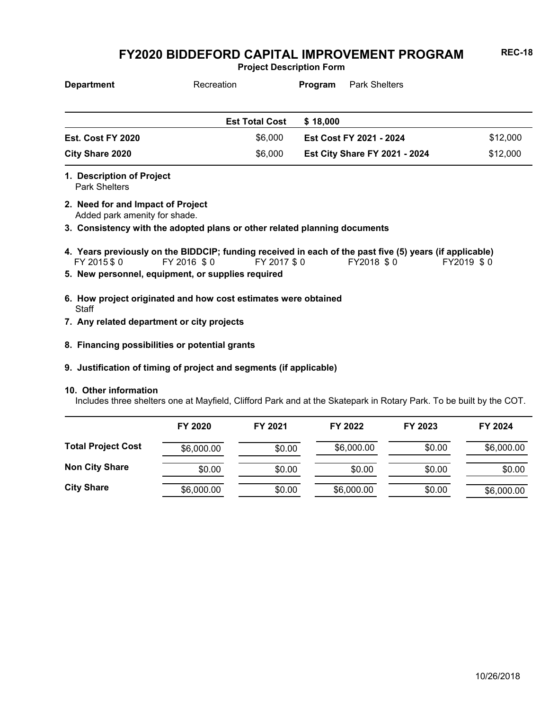**Project Description Form**

| <b>Department</b> | Recreation            | Program                              | <b>Park Shelters</b>    |          |
|-------------------|-----------------------|--------------------------------------|-------------------------|----------|
|                   |                       |                                      |                         |          |
|                   | <b>Est Total Cost</b> | \$18,000                             |                         |          |
| Est. Cost FY 2020 | \$6.000               |                                      | Est Cost FY 2021 - 2024 | \$12,000 |
| City Share 2020   | \$6,000               | <b>Est City Share FY 2021 - 2024</b> |                         | \$12,000 |

Park Shelters **1. Description of Project**

Added park amenity for shade. **2. Need for and Impact of Project**

**3. Consistency with the adopted plans or other related planning documents**

- FY 2015 \$ 0 FY 2016 \$ 0 FY 2017 \$ 0 FY2018 \$ 0 FY2019 \$ 0 **4. Years previously on the BIDDCIP; funding received in each of the past five (5) years (if applicable)**
- **5. New personnel, equipment, or supplies required**
- **Staff 6. How project originated and how cost estimates were obtained**
- **7. Any related department or city projects**
- **8. Financing possibilities or potential grants**
- **9. Justification of timing of project and segments (if applicable)**

#### **10. Other information**

Includes three shelters one at Mayfield, Clifford Park and at the Skatepark in Rotary Park. To be built by the COT.

|                           | FY 2020    | FY 2021 | FY 2022    | FY 2023 | FY 2024    |
|---------------------------|------------|---------|------------|---------|------------|
| <b>Total Project Cost</b> | \$6,000.00 | \$0.00  | \$6,000.00 | \$0.00  | \$6,000.00 |
| <b>Non City Share</b>     | \$0.00     | \$0.00  | \$0.00     | \$0.00  | \$0.00     |
| <b>City Share</b>         | \$6,000.00 | \$0.00  | \$6,000.00 | \$0.00  | \$6,000.00 |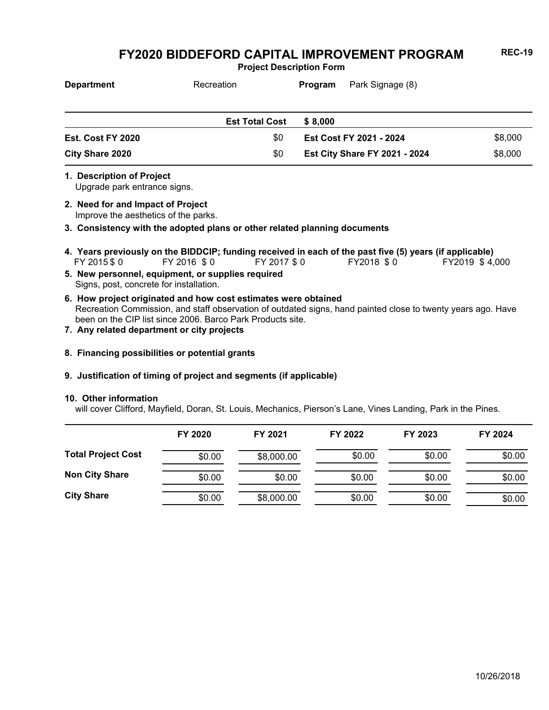**Project Description Form**

| <b>Department</b> | Recreation            | Park Signage (8)<br>Program |                                      |         |
|-------------------|-----------------------|-----------------------------|--------------------------------------|---------|
|                   |                       |                             |                                      |         |
|                   | <b>Est Total Cost</b> | \$ 8,000                    |                                      |         |
| Est. Cost FY 2020 | \$0                   |                             | Est Cost FY 2021 - 2024              | \$8,000 |
| City Share 2020   | \$0                   |                             | <b>Est City Share FY 2021 - 2024</b> | \$8,000 |

Upgrade park entrance signs. **1. Description of Project**

Improve the aesthetics of the parks. **2. Need for and Impact of Project**

**3. Consistency with the adopted plans or other related planning documents**

- \$ 0 \$ 0 \$ 0 \$ 0 \$ 4,000 **4. Years previously on the BIDDCIP; funding received in each of the past five (5) years (if applicable)** FY 2016 \$0
- Signs, post, concrete for installation. **5. New personnel, equipment, or supplies required**
- Recreation Commission, and staff observation of outdated signs, hand painted close to twenty years ago. Have been on the CIP list since 2006. Barco Park Products site. **6. How project originated and how cost estimates were obtained**
- **7. Any related department or city projects**
- **8. Financing possibilities or potential grants**

#### **9. Justification of timing of project and segments (if applicable)**

#### **10. Other information**

will cover Clifford, Mayfield, Doran, St. Louis, Mechanics, Pierson's Lane, Vines Landing, Park in the Pines.

|                           | FY 2020 | FY 2021    | FY 2022 | FY 2023 | FY 2024 |
|---------------------------|---------|------------|---------|---------|---------|
| <b>Total Project Cost</b> | \$0.00  | \$8,000.00 | \$0.00  | \$0.00  | \$0.00  |
| <b>Non City Share</b>     | \$0.00  | \$0.00     | \$0.00  | \$0.00  | \$0.00  |
| <b>City Share</b>         | \$0.00  | \$8,000.00 | \$0.00  | \$0.00  | \$0.00  |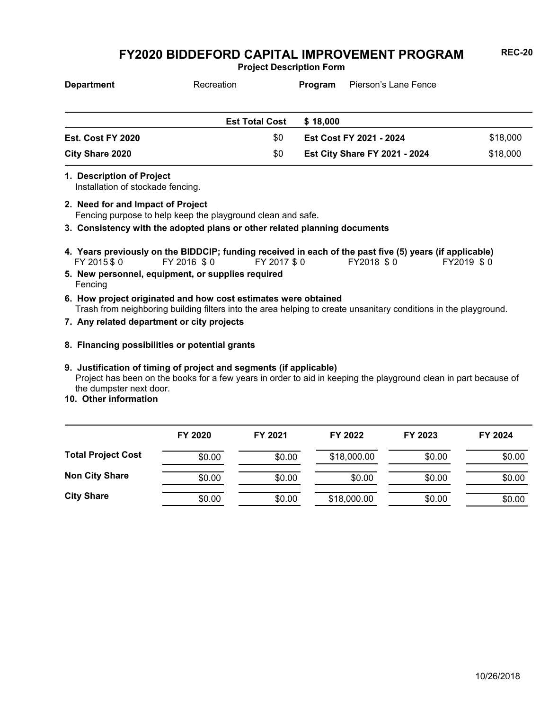**Project Description Form**

| <b>Department</b>      | Recreation            | Pierson's Lane Fence<br><b>Program</b> |          |
|------------------------|-----------------------|----------------------------------------|----------|
|                        |                       |                                        |          |
|                        | <b>Est Total Cost</b> | \$18,000                               |          |
| Est. Cost FY 2020      | \$0                   | Est Cost FY 2021 - 2024                | \$18,000 |
| <b>City Share 2020</b> | \$0                   | <b>Est City Share FY 2021 - 2024</b>   | \$18,000 |

**1. Description of Project**

Installation of stockade fencing.

Fencing purpose to help keep the playground clean and safe. **2. Need for and Impact of Project**

**3. Consistency with the adopted plans or other related planning documents**

- FY 2015 \$ 0 FY 2016 \$ 0 FY 2017 \$ 0 FY2018 \$ 0 FY2019 \$ 0 **4. Years previously on the BIDDCIP; funding received in each of the past five (5) years (if applicable)**
- Fencing **5. New personnel, equipment, or supplies required**
- Trash from neighboring building filters into the area helping to create unsanitary conditions in the playground. **6. How project originated and how cost estimates were obtained**
- **7. Any related department or city projects**
- **8. Financing possibilities or potential grants**

#### Project has been on the books for a few years in order to aid in keeping the playground clean in part because of the dumpster next door. **9. Justification of timing of project and segments (if applicable)**

**10. Other information**

|                           | FY 2020 | FY 2021 | FY 2022     | FY 2023 | FY 2024 |
|---------------------------|---------|---------|-------------|---------|---------|
| <b>Total Project Cost</b> | \$0.00  | \$0.00  | \$18,000.00 | \$0.00  | \$0.00  |
| <b>Non City Share</b>     | \$0.00  | \$0.00  | \$0.00      | \$0.00  | \$0.00  |
| <b>City Share</b>         | \$0.00  | \$0.00  | \$18,000.00 | \$0.00  | \$0.00  |

10/26/2018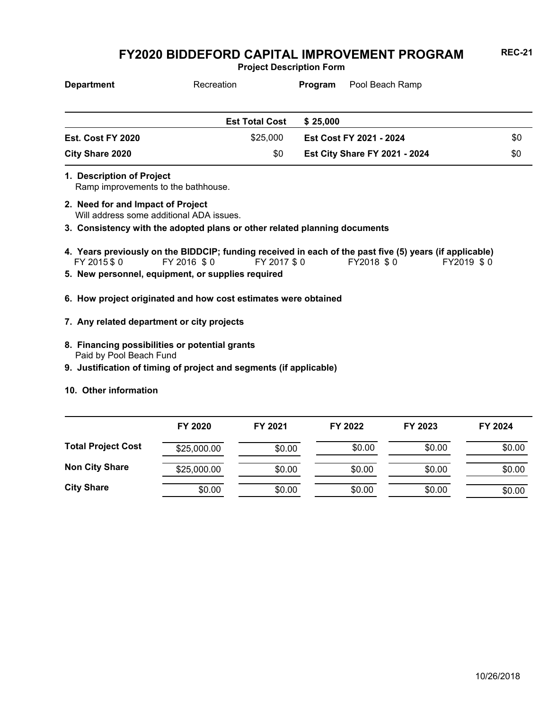**Project Description Form**

| <b>Department</b> | Recreation            | Pool Beach Ramp<br>Program           |     |
|-------------------|-----------------------|--------------------------------------|-----|
|                   | <b>Est Total Cost</b> | \$25,000                             |     |
| Est. Cost FY 2020 | \$25,000              | Est Cost FY 2021 - 2024              | \$0 |
| City Share 2020   | \$0                   | <b>Est City Share FY 2021 - 2024</b> | \$0 |

- Ramp improvements to the bathhouse. **1. Description of Project**
- Will address some additional ADA issues. **2. Need for and Impact of Project**
- **3. Consistency with the adopted plans or other related planning documents**
- FY 2015 \$ 0 FY 2016 \$ 0 FY 2017 \$ 0 FY2018 \$ 0 FY2019 \$ 0 **4. Years previously on the BIDDCIP; funding received in each of the past five (5) years (if applicable)**
- **5. New personnel, equipment, or supplies required**
- **6. How project originated and how cost estimates were obtained**
- **7. Any related department or city projects**
- Paid by Pool Beach Fund **8. Financing possibilities or potential grants**
- **9. Justification of timing of project and segments (if applicable)**
- **10. Other information**

|                           | FY 2020     | FY 2021 | FY 2022 | FY 2023 | FY 2024 |
|---------------------------|-------------|---------|---------|---------|---------|
| <b>Total Project Cost</b> | \$25,000.00 | \$0.00  | \$0.00  | \$0.00  | \$0.00  |
| <b>Non City Share</b>     | \$25,000.00 | \$0.00  | \$0.00  | \$0.00  | \$0.00  |
| <b>City Share</b>         | \$0.00      | \$0.00  | \$0.00  | \$0.00  | \$0.00  |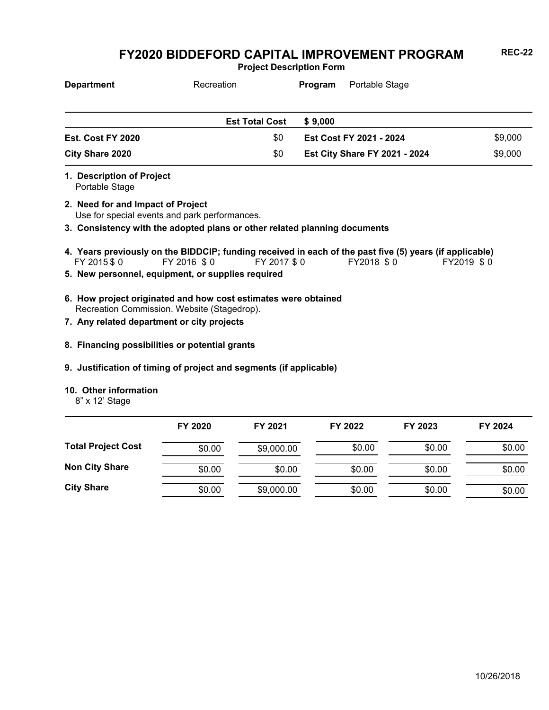**Project Description Form**

| <b>Department</b>                                                                  | Recreation                                                                | Portable Stage<br>Program            |         |
|------------------------------------------------------------------------------------|---------------------------------------------------------------------------|--------------------------------------|---------|
|                                                                                    | <b>Est Total Cost</b>                                                     | \$9,000                              |         |
| Est. Cost FY 2020                                                                  | \$0                                                                       | <b>Est Cost FY 2021 - 2024</b>       | \$9,000 |
| City Share 2020                                                                    | \$0                                                                       | <b>Est City Share FY 2021 - 2024</b> | \$9,000 |
| 1. Description of Project<br>Portable Stage                                        |                                                                           |                                      |         |
| 2. Need for and Impact of Project<br>Use for special events and park performances. |                                                                           |                                      |         |
|                                                                                    | 3. Consistency with the adopted plans or other related planning documents |                                      |         |

- FY 2015 \$ 0 FY 2016 \$ 0 FY 2017 \$ 0 FY2018 \$ 0 FY2019 \$ 0 **4. Years previously on the BIDDCIP; funding received in each of the past five (5) years (if applicable)**
- **5. New personnel, equipment, or supplies required**
- Recreation Commission. Website (Stagedrop). **6. How project originated and how cost estimates were obtained**
- **7. Any related department or city projects**
- **8. Financing possibilities or potential grants**
- **9. Justification of timing of project and segments (if applicable)**
- **10. Other information**
	- 8" x 12' Stage

|                           | FY 2020 | FY 2021    | FY 2022 | FY 2023 | FY 2024 |
|---------------------------|---------|------------|---------|---------|---------|
| <b>Total Project Cost</b> | \$0.00  | \$9,000.00 | \$0.00  | \$0.00  | \$0.00  |
| <b>Non City Share</b>     | \$0.00  | \$0.00     | \$0.00  | \$0.00  | \$0.00  |
| <b>City Share</b>         | \$0.00  | \$9,000.00 | \$0.00  | \$0.00  | \$0.00  |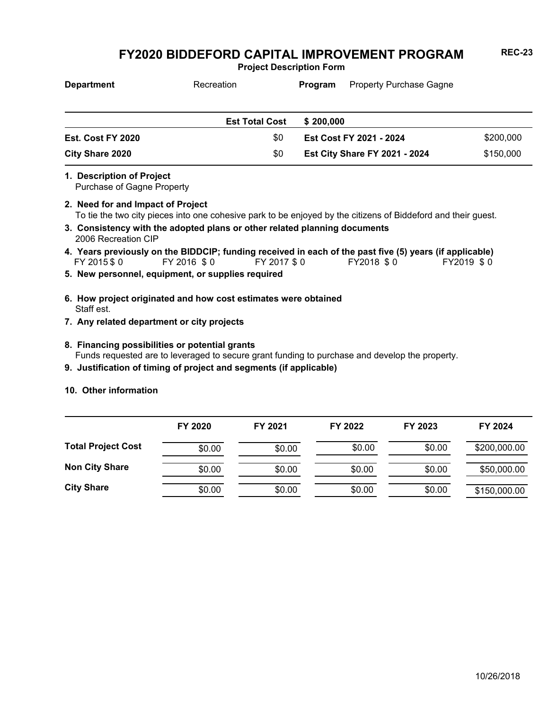**Project Description Form**

| <b>Department</b> | Recreation            | Program   | <b>Property Purchase Gagne</b>       |           |
|-------------------|-----------------------|-----------|--------------------------------------|-----------|
|                   |                       |           |                                      |           |
|                   | <b>Est Total Cost</b> | \$200,000 |                                      |           |
| Est. Cost FY 2020 | \$0                   |           | Est Cost FY 2021 - 2024              | \$200,000 |
| City Share 2020   | \$0                   |           | <b>Est City Share FY 2021 - 2024</b> | \$150,000 |

**1. Description of Project**

Purchase of Gagne Property

- To tie the two city pieces into one cohesive park to be enjoyed by the citizens of Biddeford and their guest. **2. Need for and Impact of Project**
- 2006 Recreation CIP **3. Consistency with the adopted plans or other related planning documents**
- FY 2015 \$ 0 FY 2016 \$ 0 FY 2017 \$ 0 FY2018 \$ 0 FY2019 \$ 0 **4. Years previously on the BIDDCIP; funding received in each of the past five (5) years (if applicable)**
- **5. New personnel, equipment, or supplies required**
- Staff est. **6. How project originated and how cost estimates were obtained**
- **7. Any related department or city projects**
- Funds requested are to leveraged to secure grant funding to purchase and develop the property. **8. Financing possibilities or potential grants**
- **9. Justification of timing of project and segments (if applicable)**
- **10. Other information**

|                           | FY 2020 | FY 2021 | FY 2022 | FY 2023 | FY 2024      |
|---------------------------|---------|---------|---------|---------|--------------|
| <b>Total Project Cost</b> | \$0.00  | \$0.00  | \$0.00  | \$0.00  | \$200,000.00 |
| <b>Non City Share</b>     | \$0.00  | \$0.00  | \$0.00  | \$0.00  | \$50,000.00  |
| <b>City Share</b>         | \$0.00  | \$0.00  | \$0.00  | \$0.00  | \$150,000.00 |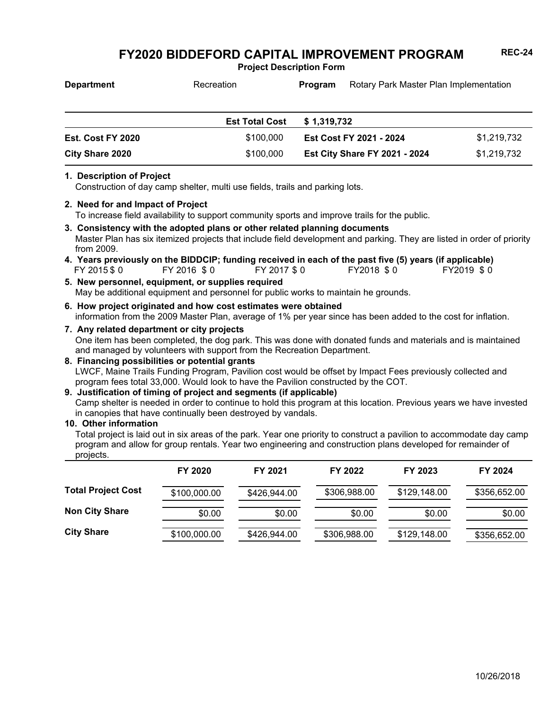**Project Description Form**

| <b>Department</b>      | Recreation            | <b>Program</b> | Rotary Park Master Plan Implementation |             |
|------------------------|-----------------------|----------------|----------------------------------------|-------------|
|                        | <b>Est Total Cost</b> | \$1,319,732    |                                        |             |
| Est. Cost FY 2020      | \$100.000             |                | Est Cost FY 2021 - 2024                | \$1,219,732 |
| <b>City Share 2020</b> | \$100,000             |                | <b>Est City Share FY 2021 - 2024</b>   | \$1,219,732 |

#### **1. Description of Project**

Construction of day camp shelter, multi use fields, trails and parking lots.

**2. Need for and Impact of Project**

To increase field availability to support community sports and improve trails for the public.

- Master Plan has six itemized projects that include field development and parking. They are listed in order of priority from 2009. **3. Consistency with the adopted plans or other related planning documents**
- FY 2015 \$ 0 FY 2016 \$ 0 FY 2017 \$ 0 FY2018 \$ 0 FY2019 \$ 0 **4. Years previously on the BIDDCIP; funding received in each of the past five (5) years (if applicable)**
- May be additional equipment and personnel for public works to maintain he grounds. **5. New personnel, equipment, or supplies required**
- information from the 2009 Master Plan, average of 1% per year since has been added to the cost for inflation. **6. How project originated and how cost estimates were obtained**
- One item has been completed, the dog park. This was done with donated funds and materials and is maintained and managed by volunteers with support from the Recreation Department. **7. Any related department or city projects**
- LWCF, Maine Trails Funding Program, Pavilion cost would be offset by Impact Fees previously collected and program fees total 33,000. Would look to have the Pavilion constructed by the COT. **8. Financing possibilities or potential grants**

#### **9. Justification of timing of project and segments (if applicable)**

Camp shelter is needed in order to continue to hold this program at this location. Previous years we have invested in canopies that have continually been destroyed by vandals.

**10. Other information**

Total project is laid out in six areas of the park. Year one priority to construct a pavilion to accommodate day camp program and allow for group rentals. Year two engineering and construction plans developed for remainder of projects.

|                           | FY 2020      | FY 2021      | FY 2022      | FY 2023      | FY 2024      |
|---------------------------|--------------|--------------|--------------|--------------|--------------|
| <b>Total Project Cost</b> | \$100,000.00 | \$426,944.00 | \$306,988.00 | \$129,148.00 | \$356,652.00 |
| <b>Non City Share</b>     | \$0.00       | \$0.00       | \$0.00       | \$0.00       | \$0.00       |
| <b>City Share</b>         | \$100,000.00 | \$426,944.00 | \$306,988.00 | \$129,148.00 | \$356,652.00 |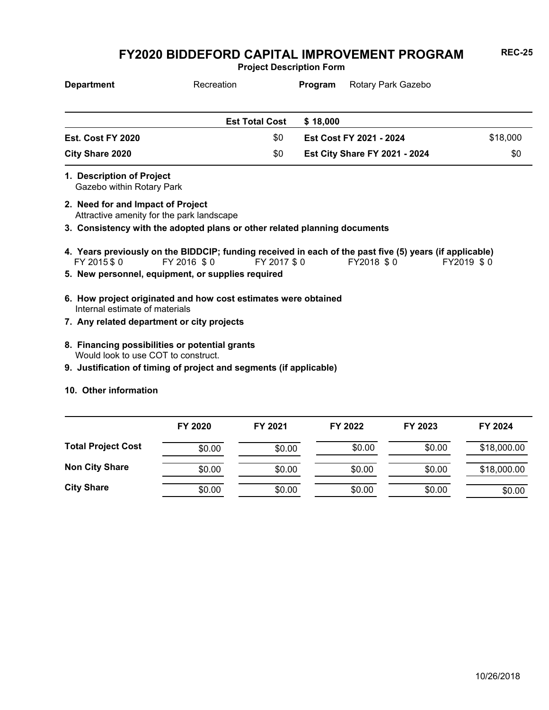**Project Description Form**

| <b>Department</b>                                      | Recreation                                                                | Program<br>Rotary Park Gazebo                                                                                         |            |
|--------------------------------------------------------|---------------------------------------------------------------------------|-----------------------------------------------------------------------------------------------------------------------|------------|
|                                                        | <b>Est Total Cost</b>                                                     | \$18,000                                                                                                              |            |
| Est. Cost FY 2020                                      | \$0                                                                       | Est Cost FY 2021 - 2024                                                                                               | \$18,000   |
| <b>City Share 2020</b>                                 | \$0                                                                       | <b>Est City Share FY 2021 - 2024</b>                                                                                  | \$0        |
| 1. Description of Project<br>Gazebo within Rotary Park |                                                                           |                                                                                                                       |            |
| 2. Need for and Impact of Project                      | Attractive amenity for the park landscape                                 |                                                                                                                       |            |
|                                                        | 3. Consistency with the adopted plans or other related planning documents |                                                                                                                       |            |
| FY 2015 \$ 0                                           | FY 2016 \$0<br>FY 2017 \$0                                                | 4. Years previously on the BIDDCIP; funding received in each of the past five (5) years (if applicable)<br>FY2018 \$0 | FY2019 \$0 |
|                                                        | 5. New personnel, equipment, or supplies required                         |                                                                                                                       |            |
| Internal estimate of materials                         | 6. How project originated and how cost estimates were obtained            |                                                                                                                       |            |
|                                                        | 7. Any related department or city projects                                |                                                                                                                       |            |
| Would look to use COT to construct.                    | 8. Financing possibilities or potential grants                            |                                                                                                                       |            |
|                                                        | 9. Justification of timing of project and segments (if applicable)        |                                                                                                                       |            |
| 10. Other information                                  |                                                                           |                                                                                                                       |            |

|                           | FY 2020 | FY 2021 | FY 2022 | FY 2023 | FY 2024     |
|---------------------------|---------|---------|---------|---------|-------------|
| <b>Total Project Cost</b> | \$0.00  | \$0.00  | \$0.00  | \$0.00  | \$18,000.00 |
| <b>Non City Share</b>     | \$0.00  | \$0.00  | \$0.00  | \$0.00  | \$18,000.00 |
| <b>City Share</b>         | \$0.00  | \$0.00  | \$0.00  | \$0.00  | \$0.00      |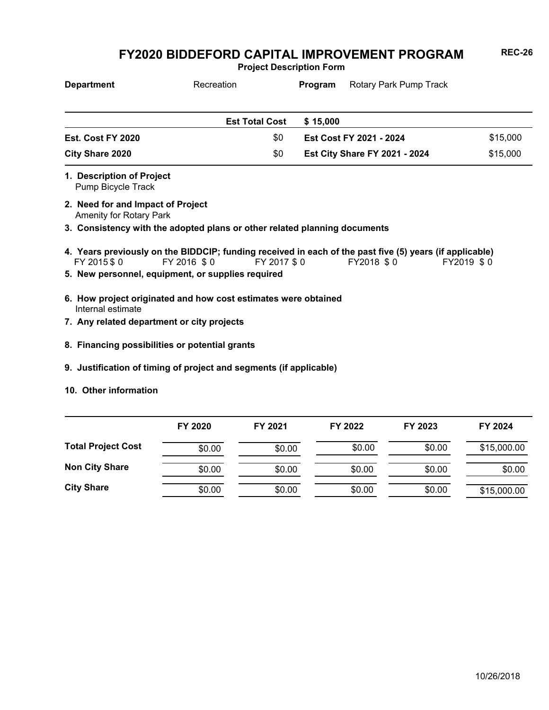**Project Description Form**

| <b>Department</b>                                                   | Recreation                                                                                                             |             | Program  | Rotary Park Pump Track               |            |
|---------------------------------------------------------------------|------------------------------------------------------------------------------------------------------------------------|-------------|----------|--------------------------------------|------------|
|                                                                     | <b>Est Total Cost</b>                                                                                                  |             | \$15,000 |                                      |            |
| Est. Cost FY 2020                                                   |                                                                                                                        | \$0         |          | Est Cost FY 2021 - 2024              | \$15,000   |
| <b>City Share 2020</b>                                              |                                                                                                                        | \$0         |          | <b>Est City Share FY 2021 - 2024</b> | \$15,000   |
| 1. Description of Project<br>Pump Bicycle Track                     |                                                                                                                        |             |          |                                      |            |
| 2. Need for and Impact of Project<br><b>Amenity for Rotary Park</b> |                                                                                                                        |             |          |                                      |            |
|                                                                     | 3. Consistency with the adopted plans or other related planning documents                                              |             |          |                                      |            |
| FY 2015 \$0                                                         | 4. Years previously on the BIDDCIP; funding received in each of the past five (5) years (if applicable)<br>FY 2016 \$0 | FY 2017 \$0 |          | FY2018 \$0                           | FY2019 \$0 |
|                                                                     | 5. New personnel, equipment, or supplies required                                                                      |             |          |                                      |            |
| Internal estimate                                                   | 6. How project originated and how cost estimates were obtained                                                         |             |          |                                      |            |
| 7. Any related department or city projects                          |                                                                                                                        |             |          |                                      |            |
|                                                                     | 8. Financing possibilities or potential grants                                                                         |             |          |                                      |            |
|                                                                     | 9. Justification of timing of project and segments (if applicable)                                                     |             |          |                                      |            |

**10. Other information**

|                           | FY 2020 | FY 2021 | FY 2022 | FY 2023 | FY 2024     |
|---------------------------|---------|---------|---------|---------|-------------|
| <b>Total Project Cost</b> | \$0.00  | \$0.00  | \$0.00  | \$0.00  | \$15,000.00 |
| <b>Non City Share</b>     | \$0.00  | \$0.00  | \$0.00  | \$0.00  | \$0.00      |
| <b>City Share</b>         | \$0.00  | \$0.00  | \$0.00  | \$0.00  | \$15,000.00 |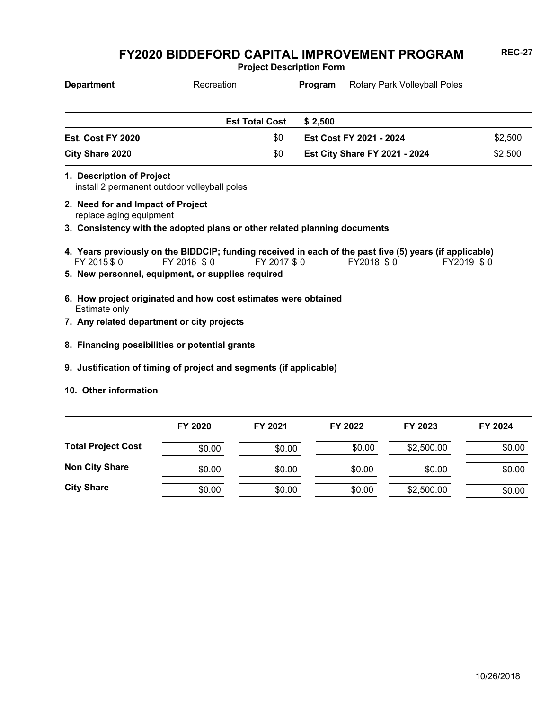**Project Description Form**

| <b>Department</b>         | Recreation            | Program | <b>Rotary Park Volleyball Poles</b>  |         |
|---------------------------|-----------------------|---------|--------------------------------------|---------|
|                           | <b>Est Total Cost</b> | \$2.500 |                                      |         |
| Est. Cost FY 2020         | \$0                   |         | Est Cost FY 2021 - 2024              | \$2,500 |
| City Share 2020           | \$0                   |         | <b>Est City Share FY 2021 - 2024</b> | \$2,500 |
| 1. Description of Project |                       |         |                                      |         |

install 2 permanent outdoor volleyball poles

- replace aging equipment **2. Need for and Impact of Project**
- **3. Consistency with the adopted plans or other related planning documents**
- FY 2015 \$ 0 FY 2016 \$ 0 FY 2017 \$ 0 FY2018 \$ 0 FY2019 \$ 0 **4. Years previously on the BIDDCIP; funding received in each of the past five (5) years (if applicable)**
- **5. New personnel, equipment, or supplies required**
- Estimate only **6. How project originated and how cost estimates were obtained**
- **7. Any related department or city projects**
- **8. Financing possibilities or potential grants**
- **9. Justification of timing of project and segments (if applicable)**
- **10. Other information**

|                           | FY 2020 | FY 2021 | FY 2022 | FY 2023    | FY 2024 |
|---------------------------|---------|---------|---------|------------|---------|
| <b>Total Project Cost</b> | \$0.00  | \$0.00  | \$0.00  | \$2,500.00 | \$0.00  |
| <b>Non City Share</b>     | \$0.00  | \$0.00  | \$0.00  | \$0.00     | \$0.00  |
| <b>City Share</b>         | \$0.00  | \$0.00  | \$0.00  | \$2,500.00 | \$0.00  |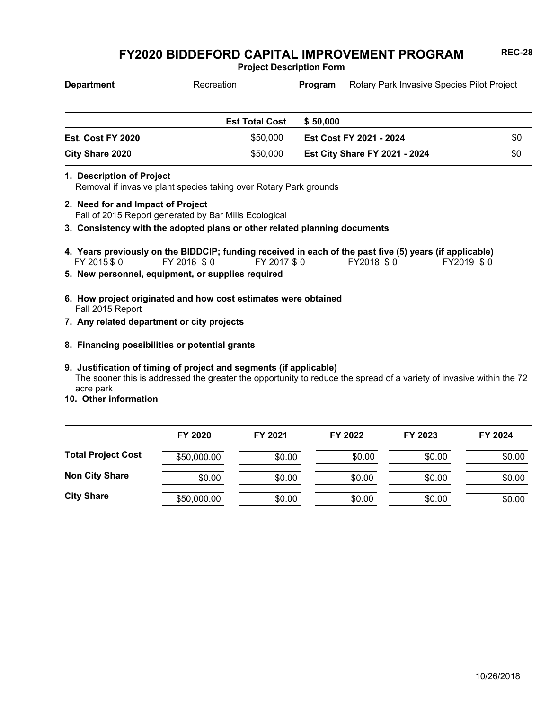**Project Description Form**

| <b>Department</b> | Recreation            | Program  | Rotary Park Invasive Species Pilot Project |     |
|-------------------|-----------------------|----------|--------------------------------------------|-----|
|                   | <b>Est Total Cost</b> | \$50,000 |                                            |     |
| Est. Cost FY 2020 | \$50,000              |          | <b>Est Cost FY 2021 - 2024</b>             | \$0 |
| City Share 2020   | \$50,000              |          | <b>Est City Share FY 2021 - 2024</b>       | \$0 |

#### **1. Description of Project**

Removal if invasive plant species taking over Rotary Park grounds

- Fall of 2015 Report generated by Bar Mills Ecological **2. Need for and Impact of Project**
- **3. Consistency with the adopted plans or other related planning documents**
- FY 2015 \$ 0 FY 2016 \$ 0 FY 2017 \$ 0 FY2018 \$ 0 FY2019 \$ 0 **4. Years previously on the BIDDCIP; funding received in each of the past five (5) years (if applicable)**
- **5. New personnel, equipment, or supplies required**
- Fall 2015 Report **6. How project originated and how cost estimates were obtained**
- **7. Any related department or city projects**
- **8. Financing possibilities or potential grants**

#### **9. Justification of timing of project and segments (if applicable)**

The sooner this is addressed the greater the opportunity to reduce the spread of a variety of invasive within the 72 acre park

**10. Other information**

|                           | FY 2020     | FY 2021 | FY 2022 | FY 2023 | FY 2024 |
|---------------------------|-------------|---------|---------|---------|---------|
| <b>Total Project Cost</b> | \$50,000.00 | \$0.00  | \$0.00  | \$0.00  | \$0.00  |
| <b>Non City Share</b>     | \$0.00      | \$0.00  | \$0.00  | \$0.00  | \$0.00  |
| <b>City Share</b>         | \$50,000.00 | \$0.00  | \$0.00  | \$0.00  | \$0.00  |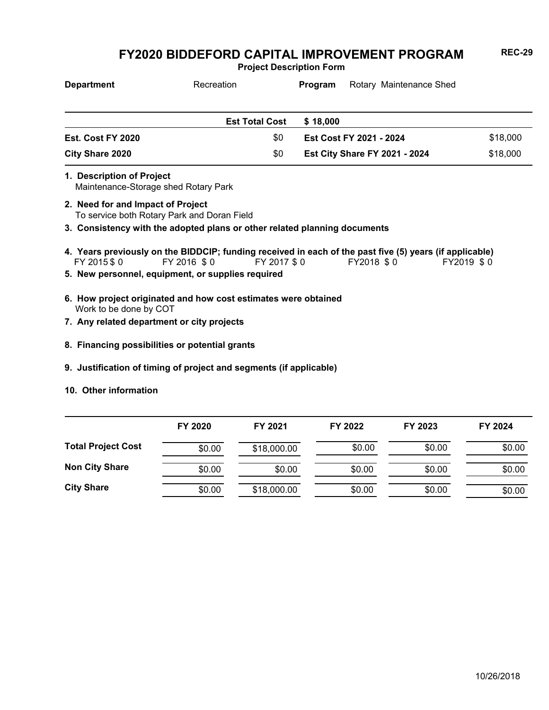**Project Description Form**

| <b>Department</b>      | Recreation            | Rotary Maintenance Shed<br>Program   |          |
|------------------------|-----------------------|--------------------------------------|----------|
|                        | <b>Est Total Cost</b> | \$18,000                             |          |
| Est. Cost FY 2020      | \$0                   | Est Cost FY 2021 - 2024              | \$18,000 |
| \$0<br>City Share 2020 |                       | <b>Est City Share FY 2021 - 2024</b> | \$18,000 |
|                        |                       |                                      |          |

Maintenance-Storage shed Rotary Park **1. Description of Project**

- To service both Rotary Park and Doran Field **2. Need for and Impact of Project**
- **3. Consistency with the adopted plans or other related planning documents**
- FY 2015 \$ 0 FY 2016 \$ 0 FY 2017 \$ 0 FY2018 \$ 0 FY2019 \$ 0 **4. Years previously on the BIDDCIP; funding received in each of the past five (5) years (if applicable)**
- **5. New personnel, equipment, or supplies required**
- Work to be done by COT **6. How project originated and how cost estimates were obtained**
- **7. Any related department or city projects**
- **8. Financing possibilities or potential grants**
- **9. Justification of timing of project and segments (if applicable)**
- **10. Other information**

|                           | FY 2020 | FY 2021     | FY 2022 | FY 2023 | FY 2024 |
|---------------------------|---------|-------------|---------|---------|---------|
| <b>Total Project Cost</b> | \$0.00  | \$18,000.00 | \$0.00  | \$0.00  | \$0.00  |
| <b>Non City Share</b>     | \$0.00  | \$0.00      | \$0.00  | \$0.00  | \$0.00  |
| <b>City Share</b>         | \$0.00  | \$18,000.00 | \$0.00  | \$0.00  | \$0.00  |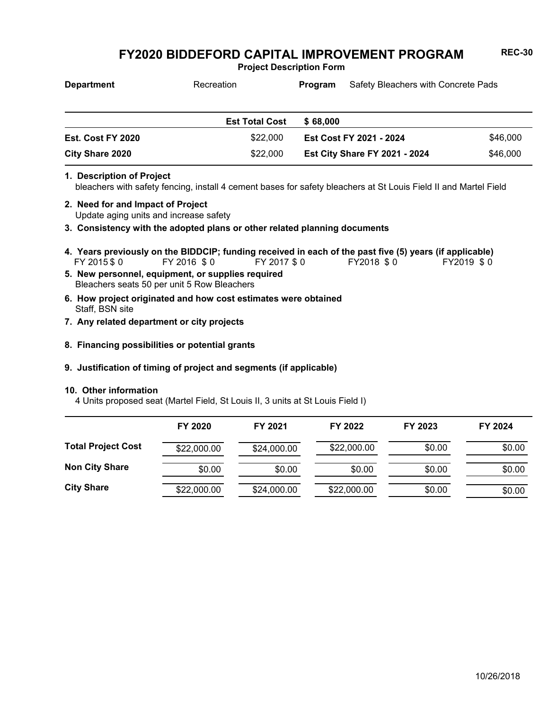**Project Description Form**

| <b>Department</b>        | Recreation            | <b>Program</b> | Safety Bleachers with Concrete Pads  |          |  |
|--------------------------|-----------------------|----------------|--------------------------------------|----------|--|
|                          | <b>Est Total Cost</b> | \$68,000       |                                      |          |  |
| <b>Est. Cost FY 2020</b> | \$22,000              |                | <b>Est Cost FY 2021 - 2024</b>       | \$46,000 |  |
| <b>City Share 2020</b>   | \$22,000              |                | <b>Est City Share FY 2021 - 2024</b> | \$46,000 |  |

#### **1. Description of Project**

bleachers with safety fencing, install 4 cement bases for safety bleachers at St Louis Field II and Martel Field

- Update aging units and increase safety **2. Need for and Impact of Project**
- **3. Consistency with the adopted plans or other related planning documents**
- FY 2015 \$ 0 FY 2016 \$ 0 FY 2017 \$ 0 FY2018 \$ 0 FY2019 \$ 0 **4. Years previously on the BIDDCIP; funding received in each of the past five (5) years (if applicable)**
- Bleachers seats 50 per unit 5 Row Bleachers **5. New personnel, equipment, or supplies required**
- Staff, BSN site **6. How project originated and how cost estimates were obtained**
- **7. Any related department or city projects**
- **8. Financing possibilities or potential grants**

#### **9. Justification of timing of project and segments (if applicable)**

#### **10. Other information**

4 Units proposed seat (Martel Field, St Louis II, 3 units at St Louis Field I)

|                           | FY 2020     | FY 2021     | FY 2022     | FY 2023 | FY 2024 |
|---------------------------|-------------|-------------|-------------|---------|---------|
| <b>Total Project Cost</b> | \$22,000.00 | \$24,000.00 | \$22,000.00 | \$0.00  | \$0.00  |
| <b>Non City Share</b>     | \$0.00      | \$0.00      | \$0.00      | \$0.00  | \$0.00  |
| <b>City Share</b>         | \$22,000.00 | \$24,000.00 | \$22,000.00 | \$0.00  | \$0.00  |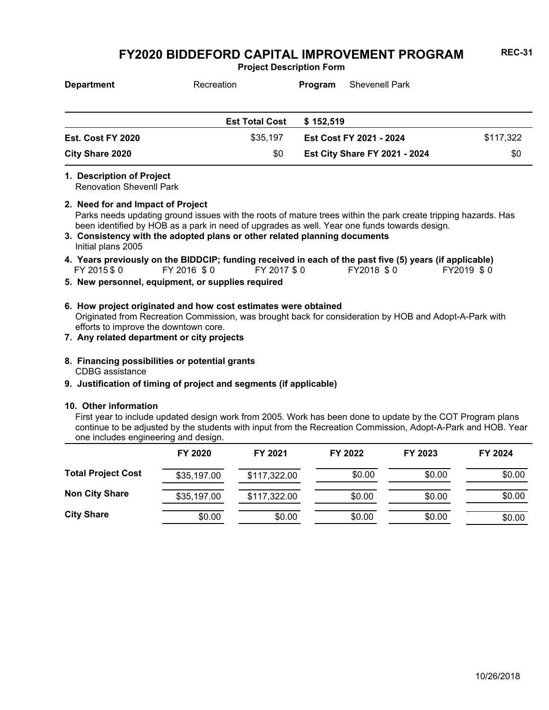**Project Description Form**

| <b>Department</b>        | Recreation            | <b>Shevenell Park</b><br><b>Program</b> |           |
|--------------------------|-----------------------|-----------------------------------------|-----------|
|                          |                       |                                         |           |
|                          | <b>Est Total Cost</b> | \$152,519                               |           |
| <b>Est. Cost FY 2020</b> | \$35,197              | Est Cost FY 2021 - 2024                 | \$117,322 |
| <b>City Share 2020</b>   | \$0                   | <b>Est City Share FY 2021 - 2024</b>    | \$0       |

#### **1. Description of Project**

Renovation Shevenll Park

#### **2. Need for and Impact of Project**

Parks needs updating ground issues with the roots of mature trees within the park create tripping hazards. Has been identified by HOB as a park in need of upgrades as well. Year one funds towards design.

- Initial plans 2005 **3. Consistency with the adopted plans or other related planning documents**
- FY 2015 \$ 0 FY 2016 \$ 0 FY 2017 \$ 0 FY2018 \$ 0 FY2019 \$ 0 **4. Years previously on the BIDDCIP; funding received in each of the past five (5) years (if applicable)**
- **5. New personnel, equipment, or supplies required**
- Originated from Recreation Commission, was brought back for consideration by HOB and Adopt-A-Park with efforts to improve the downtown core. **6. How project originated and how cost estimates were obtained**
- **7. Any related department or city projects**
- CDBG assistance **8. Financing possibilities or potential grants**
- **9. Justification of timing of project and segments (if applicable)**

#### **10. Other information**

First year to include updated design work from 2005. Work has been done to update by the COT Program plans continue to be adjusted by the students with input from the Recreation Commission, Adopt-A-Park and HOB. Year one includes engineering and design.

|                           | FY 2020     | FY 2021      | FY 2022 | FY 2023 | FY 2024 |
|---------------------------|-------------|--------------|---------|---------|---------|
| <b>Total Project Cost</b> | \$35,197.00 | \$117,322.00 | \$0.00  | \$0.00  | \$0.00  |
| <b>Non City Share</b>     | \$35,197.00 | \$117,322.00 | \$0.00  | \$0.00  | \$0.00  |
| <b>City Share</b>         | \$0.00      | \$0.00       | \$0.00  | \$0.00  | \$0.00  |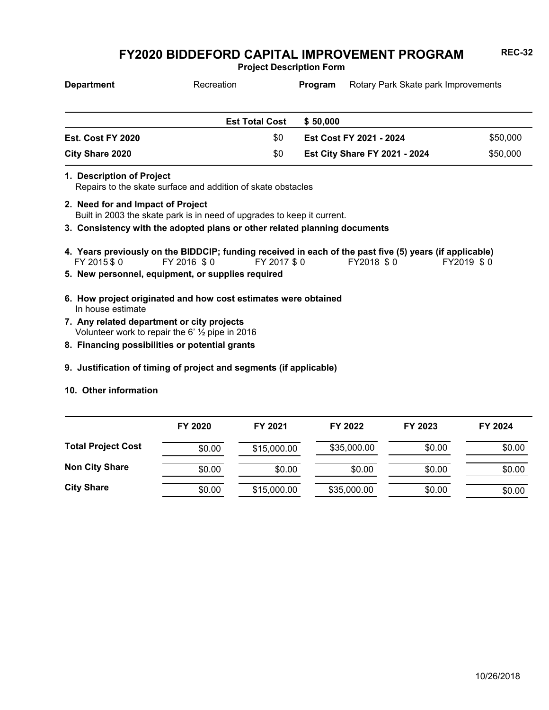**Project Description Form**

| <b>Department</b>        | Recreation            | Program  | Rotary Park Skate park Improvements  |          |
|--------------------------|-----------------------|----------|--------------------------------------|----------|
|                          | <b>Est Total Cost</b> | \$50,000 |                                      |          |
| <b>Est. Cost FY 2020</b> | \$0                   |          | <b>Est Cost FY 2021 - 2024</b>       | \$50,000 |
| City Share 2020          | \$0                   |          | <b>Est City Share FY 2021 - 2024</b> | \$50,000 |

**1. Description of Project**

Repairs to the skate surface and addition of skate obstacles

- Built in 2003 the skate park is in need of upgrades to keep it current. **2. Need for and Impact of Project**
- **3. Consistency with the adopted plans or other related planning documents**
- FY 2015 \$ 0 FY 2016 \$ 0 FY 2017 \$ 0 FY2018 \$ 0 FY2019 \$ 0 **4. Years previously on the BIDDCIP; funding received in each of the past five (5) years (if applicable)**
- **5. New personnel, equipment, or supplies required**
- In house estimate **6. How project originated and how cost estimates were obtained**
- Volunteer work to repair the 6' ½ pipe in 2016 **7. Any related department or city projects**
- **8. Financing possibilities or potential grants**
- **9. Justification of timing of project and segments (if applicable)**
- **10. Other information**

|                           | FY 2020 | FY 2021     | FY 2022     | FY 2023 | FY 2024 |
|---------------------------|---------|-------------|-------------|---------|---------|
| <b>Total Project Cost</b> | \$0.00  | \$15,000.00 | \$35,000.00 | \$0.00  | \$0.00  |
| <b>Non City Share</b>     | \$0.00  | \$0.00      | \$0.00      | \$0.00  | \$0.00  |
| <b>City Share</b>         | \$0.00  | \$15,000.00 | \$35,000.00 | \$0.00  | \$0.00  |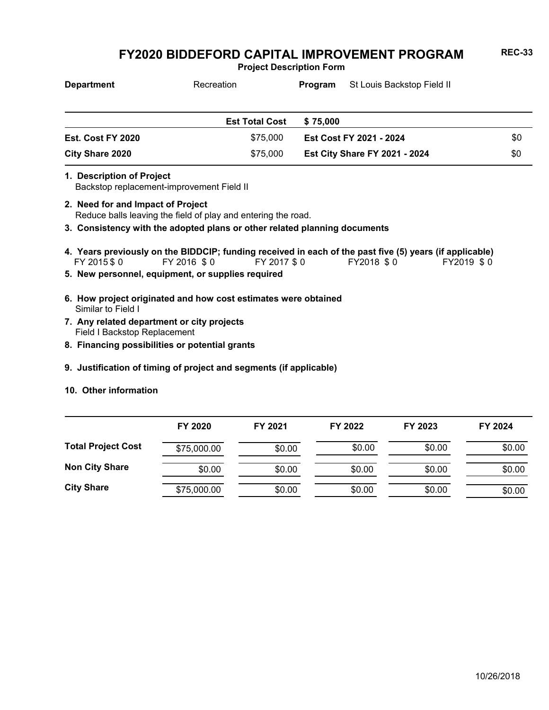**Project Description Form**

| <b>Department</b>      | Recreation            | St Louis Backstop Field II<br>Program |                                      |     |
|------------------------|-----------------------|---------------------------------------|--------------------------------------|-----|
|                        |                       |                                       |                                      |     |
|                        | <b>Est Total Cost</b> | \$75,000                              |                                      |     |
| Est. Cost FY 2020      | \$75,000              |                                       | <b>Est Cost FY 2021 - 2024</b>       | \$0 |
| <b>City Share 2020</b> | \$75,000              |                                       | <b>Est City Share FY 2021 - 2024</b> | \$0 |

- Backstop replacement-improvement Field II **1. Description of Project**
- Reduce balls leaving the field of play and entering the road. **2. Need for and Impact of Project**
- **3. Consistency with the adopted plans or other related planning documents**
- FY 2015 \$ 0 FY 2016 \$ 0 FY 2017 \$ 0 FY2018 \$ 0 FY2019 \$ 0 **4. Years previously on the BIDDCIP; funding received in each of the past five (5) years (if applicable)**
- **5. New personnel, equipment, or supplies required**
- Similar to Field I **6. How project originated and how cost estimates were obtained**
- Field I Backstop Replacement **7. Any related department or city projects**
- **8. Financing possibilities or potential grants**
- **9. Justification of timing of project and segments (if applicable)**
- **10. Other information**

|                           | FY 2020     | FY 2021 | FY 2022 | FY 2023 | FY 2024 |
|---------------------------|-------------|---------|---------|---------|---------|
| <b>Total Project Cost</b> | \$75,000.00 | \$0.00  | \$0.00  | \$0.00  | \$0.00  |
| <b>Non City Share</b>     | \$0.00      | \$0.00  | \$0.00  | \$0.00  | \$0.00  |
| <b>City Share</b>         | \$75,000.00 | \$0.00  | \$0.00  | \$0.00  | \$0.00  |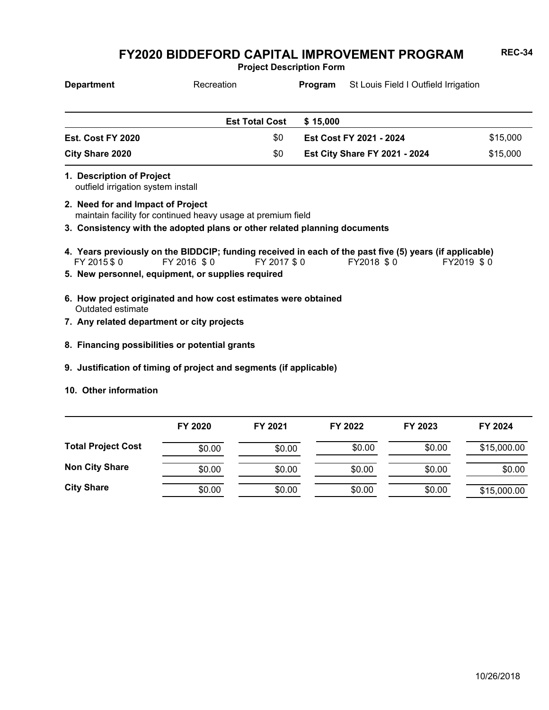**Project Description Form**

| <b>Department</b>                                                                                 | Recreation                                  | Program  | St Louis Field I Outfield Irrigation |          |
|---------------------------------------------------------------------------------------------------|---------------------------------------------|----------|--------------------------------------|----------|
|                                                                                                   | <b>Est Total Cost</b>                       | \$15,000 |                                      |          |
| Est. Cost FY 2020                                                                                 | \$0                                         |          | Est Cost FY 2021 - 2024              | \$15,000 |
| <b>City Share 2020</b>                                                                            | \$0<br><b>Est City Share FY 2021 - 2024</b> |          |                                      | \$15,000 |
| 1. Description of Project<br>outfield irrigation system install                                   |                                             |          |                                      |          |
| 2. Need for and Impact of Project<br>maintain facility for continued heavy usage at premium field |                                             |          |                                      |          |
| 3. Consistency with the adopted plans or other related planning documents                         |                                             |          |                                      |          |

- FY 2015 \$ 0 FY 2016 \$ 0 FY 2017 \$ 0 FY2018 \$ 0 FY2019 \$ 0 **4. Years previously on the BIDDCIP; funding received in each of the past five (5) years (if applicable)**
- **5. New personnel, equipment, or supplies required**
- Outdated estimate **6. How project originated and how cost estimates were obtained**
- **7. Any related department or city projects**
- **8. Financing possibilities or potential grants**
- **9. Justification of timing of project and segments (if applicable)**
- **10. Other information**

|                           | FY 2020 | FY 2021 | FY 2022 | FY 2023 | FY 2024     |
|---------------------------|---------|---------|---------|---------|-------------|
| <b>Total Project Cost</b> | \$0.00  | \$0.00  | \$0.00  | \$0.00  | \$15,000.00 |
| <b>Non City Share</b>     | \$0.00  | \$0.00  | \$0.00  | \$0.00  | \$0.00      |
| <b>City Share</b>         | \$0.00  | \$0.00  | \$0.00  | \$0.00  | \$15,000.00 |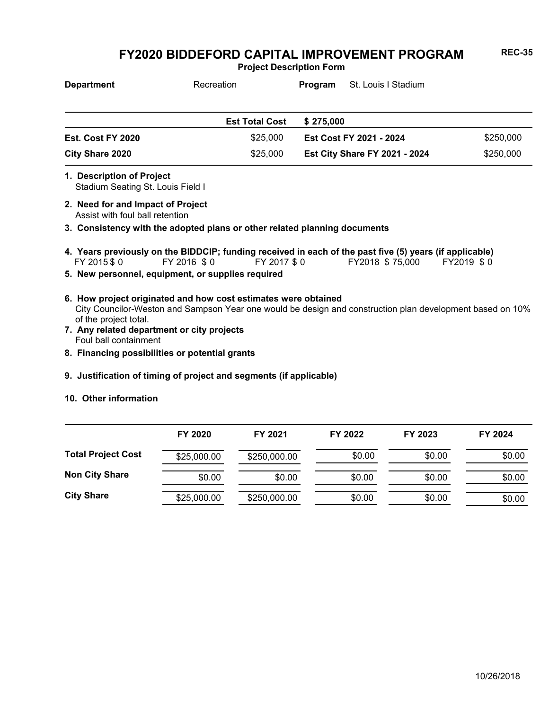**Project Description Form**

| <b>Department</b>      | Recreation            | St. Louis I Stadium<br>Program       |           |
|------------------------|-----------------------|--------------------------------------|-----------|
|                        | <b>Est Total Cost</b> | \$275,000                            |           |
| Est. Cost FY 2020      | \$25,000              | Est Cost FY 2021 - 2024              | \$250,000 |
| <b>City Share 2020</b> | \$25,000              | <b>Est City Share FY 2021 - 2024</b> | \$250,000 |

- Stadium Seating St. Louis Field I **1. Description of Project**
- Assist with foul ball retention **2. Need for and Impact of Project**
- **3. Consistency with the adopted plans or other related planning documents**
- FY 2015 \$ 0 FY 2016 \$ 0 FY 2017 \$ 0 FY2018 \$ 75,000 FY2019 \$ 0 **4. Years previously on the BIDDCIP; funding received in each of the past five (5) years (if applicable)**
- **5. New personnel, equipment, or supplies required**
- City Councilor-Weston and Sampson Year one would be design and construction plan development based on 10% of the project total. **6. How project originated and how cost estimates were obtained**
- Foul ball containment **7. Any related department or city projects**
- **8. Financing possibilities or potential grants**
- **9. Justification of timing of project and segments (if applicable)**
- **10. Other information**

|                           | FY 2020     | FY 2021      | FY 2022 | FY 2023 | FY 2024 |
|---------------------------|-------------|--------------|---------|---------|---------|
| <b>Total Project Cost</b> | \$25,000.00 | \$250,000.00 | \$0.00  | \$0.00  | \$0.00  |
| <b>Non City Share</b>     | \$0.00      | \$0.00       | \$0.00  | \$0.00  | \$0.00  |
| <b>City Share</b>         | \$25,000.00 | \$250,000.00 | \$0.00  | \$0.00  | \$0.00  |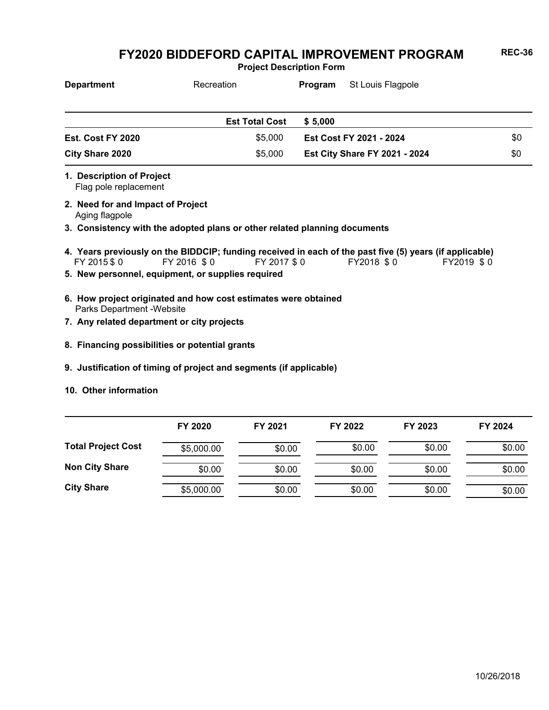**Project Description Form**

| <b>Department</b> | Recreation            | St Louis Flagpole<br>Program         |     |
|-------------------|-----------------------|--------------------------------------|-----|
|                   | <b>Est Total Cost</b> | \$5.000                              |     |
| Est. Cost FY 2020 | \$5.000               | Est Cost FY 2021 - 2024              | \$0 |
| City Share 2020   | \$5,000               | <b>Est City Share FY 2021 - 2024</b> | \$0 |

Flag pole replacement **1. Description of Project**

Aging flagpole **2. Need for and Impact of Project**

**3. Consistency with the adopted plans or other related planning documents**

- FY 2015 \$ 0 FY 2016 \$ 0 FY 2017 \$ 0 FY2018 \$ 0 FY2019 \$ 0 **4. Years previously on the BIDDCIP; funding received in each of the past five (5) years (if applicable)**
- **5. New personnel, equipment, or supplies required**
- Parks Department -Website **6. How project originated and how cost estimates were obtained**
- **7. Any related department or city projects**
- **8. Financing possibilities or potential grants**
- **9. Justification of timing of project and segments (if applicable)**
- **10. Other information**

|                           | FY 2020    | FY 2021 | FY 2022 | FY 2023 | FY 2024 |
|---------------------------|------------|---------|---------|---------|---------|
| <b>Total Project Cost</b> | \$5,000.00 | \$0.00  | \$0.00  | \$0.00  | \$0.00  |
| <b>Non City Share</b>     | \$0.00     | \$0.00  | \$0.00  | \$0.00  | \$0.00  |
| <b>City Share</b>         | \$5,000.00 | \$0.00  | \$0.00  | \$0.00  | \$0.00  |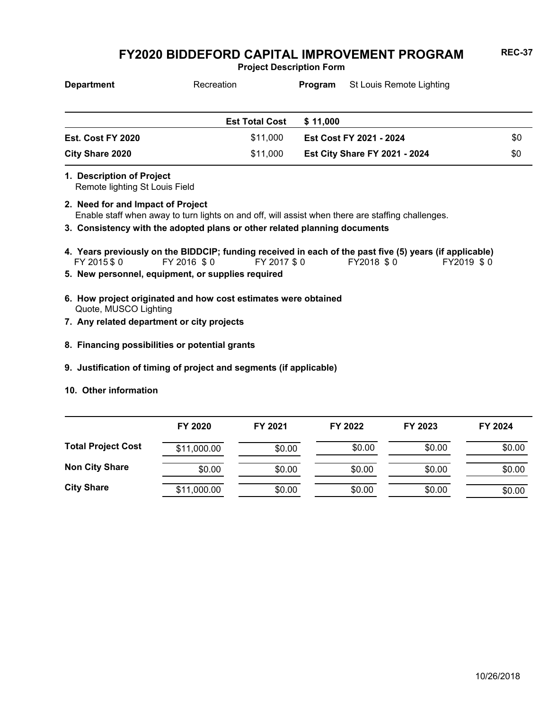**Project Description Form**

| <b>Department</b> | Recreation            | Program                 | St Louis Remote Lighting             |     |
|-------------------|-----------------------|-------------------------|--------------------------------------|-----|
|                   | <b>Est Total Cost</b> | \$11,000                |                                      |     |
| Est. Cost FY 2020 | \$11,000              | Est Cost FY 2021 - 2024 |                                      | \$0 |
| City Share 2020   | \$11,000              |                         | <b>Est City Share FY 2021 - 2024</b> | \$0 |

**1. Description of Project**

Remote lighting St Louis Field

- Enable staff when away to turn lights on and off, will assist when there are staffing challenges. **2. Need for and Impact of Project**
- **3. Consistency with the adopted plans or other related planning documents**
- FY 2015 \$ 0 FY 2016 \$ 0 FY 2017 \$ 0 FY2018 \$ 0 FY2019 \$ 0 **4. Years previously on the BIDDCIP; funding received in each of the past five (5) years (if applicable)**
- **5. New personnel, equipment, or supplies required**
- Quote, MUSCO Lighting **6. How project originated and how cost estimates were obtained**
- **7. Any related department or city projects**
- **8. Financing possibilities or potential grants**
- **9. Justification of timing of project and segments (if applicable)**
- **10. Other information**

|                           | FY 2020     | FY 2021 | FY 2022 | FY 2023 | FY 2024 |
|---------------------------|-------------|---------|---------|---------|---------|
| <b>Total Project Cost</b> | \$11,000.00 | \$0.00  | \$0.00  | \$0.00  | \$0.00  |
| <b>Non City Share</b>     | \$0.00      | \$0.00  | \$0.00  | \$0.00  | \$0.00  |
| <b>City Share</b>         | \$11,000.00 | \$0.00  | \$0.00  | \$0.00  | \$0.00  |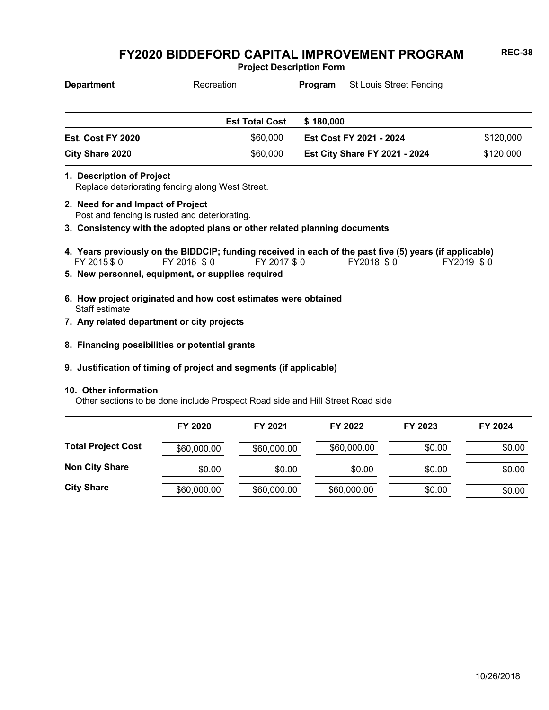**Project Description Form**

| <b>Department</b>      | Recreation            | Program                 | St Louis Street Fencing              |           |
|------------------------|-----------------------|-------------------------|--------------------------------------|-----------|
|                        | <b>Est Total Cost</b> | \$180,000               |                                      |           |
| Est. Cost FY 2020      | \$60,000              | Est Cost FY 2021 - 2024 |                                      | \$120,000 |
| <b>City Share 2020</b> | \$60,000              |                         | <b>Est City Share FY 2021 - 2024</b> | \$120,000 |

- Replace deteriorating fencing along West Street. **1. Description of Project**
- Post and fencing is rusted and deteriorating. **2. Need for and Impact of Project**
- **3. Consistency with the adopted plans or other related planning documents**
- FY 2015 \$ 0 FY 2016 \$ 0 FY 2017 \$ 0 FY2018 \$ 0 FY2019 \$ 0 **4. Years previously on the BIDDCIP; funding received in each of the past five (5) years (if applicable)**
- **5. New personnel, equipment, or supplies required**
- Staff estimate **6. How project originated and how cost estimates were obtained**
- **7. Any related department or city projects**
- **8. Financing possibilities or potential grants**

#### **9. Justification of timing of project and segments (if applicable)**

#### **10. Other information**

Other sections to be done include Prospect Road side and Hill Street Road side

|                           | FY 2020     | FY 2021     | FY 2022     | FY 2023 | FY 2024 |
|---------------------------|-------------|-------------|-------------|---------|---------|
| <b>Total Project Cost</b> | \$60,000.00 | \$60,000.00 | \$60,000.00 | \$0.00  | \$0.00  |
| <b>Non City Share</b>     | \$0.00      | \$0.00      | \$0.00      | \$0.00  | \$0.00  |
| <b>City Share</b>         | \$60,000.00 | \$60,000.00 | \$60,000.00 | \$0.00  | \$0.00  |